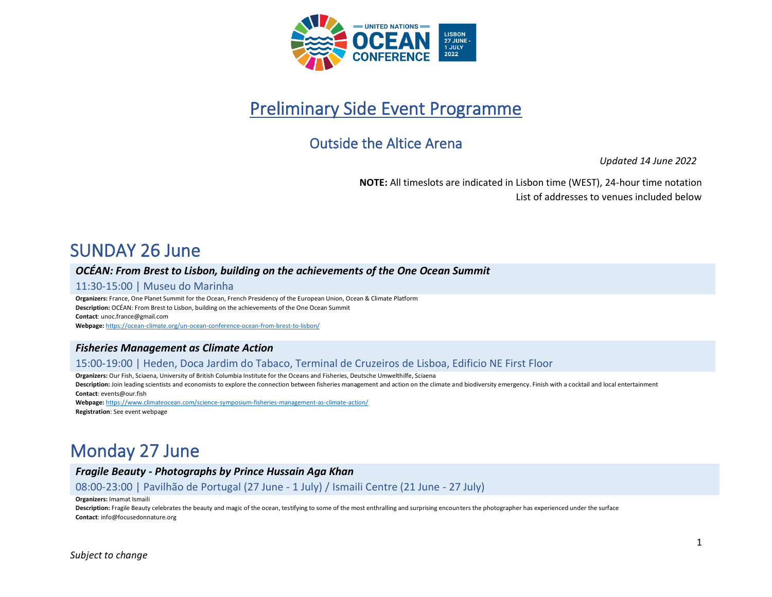

# Preliminary Side Event Programme

# Outside the Altice Arena

*Updated 14 June 2022*

**NOTE:** All timeslots are indicated in Lisbon time (WEST), 24-hour time notation List of addresses to venues included below

# SUNDAY 26 June

#### *OCÉAN: From Brest to Lisbon, building on the achievements of the One Ocean Summit*

#### 11:30-15:00 | Museu do Marinha

**Organizers:** France, One Planet Summit for the Ocean, French Presidency of the European Union, Ocean & Climate Platform **Description:** OCÉAN: From Brest to Lisbon, building on the achievements of the One Ocean Summit **Contact**: unoc.france@gmail.com **Webpage:** <https://ocean-climate.org/un-ocean-conference-ocean-from-brest-to-lisbon/>

# *Fisheries Management as Climate Action*

#### 15:00-19:00 | Heden, Doca Jardim do Tabaco, Terminal de Cruzeiros de Lisboa, Edificio NE First Floor

**Organizers:** Our Fish, Sciaena, University of British Columbia Institute for the Oceans and Fisheries, Deutsche Umwelthilfe, Sciaena

Description: Join leading scientists and economists to explore the connection between fisheries management and action on the climate and biodiversity emergency. Finish with a cocktail and local entertainment **Contact**: events@our.fish

**Webpage:** <https://www.climateocean.com/science-symposium-fisheries-management-as-climate-action/> **Registration**: See event webpage

# Monday 27 June

*Fragile Beauty - Photographs by Prince Hussain Aga Khan*

08:00-23:00 | Pavilhão de Portugal (27 June - 1 July) / Ismaili Centre (21 June - 27 July)

**Organizers:** Imamat Ismaili

**Description:** Fragile Beauty celebrates the beauty and magic of the ocean, testifying to some of the most enthralling and surprising encounters the photographer has experienced under the surface **Contact**: info@focusedonnature.org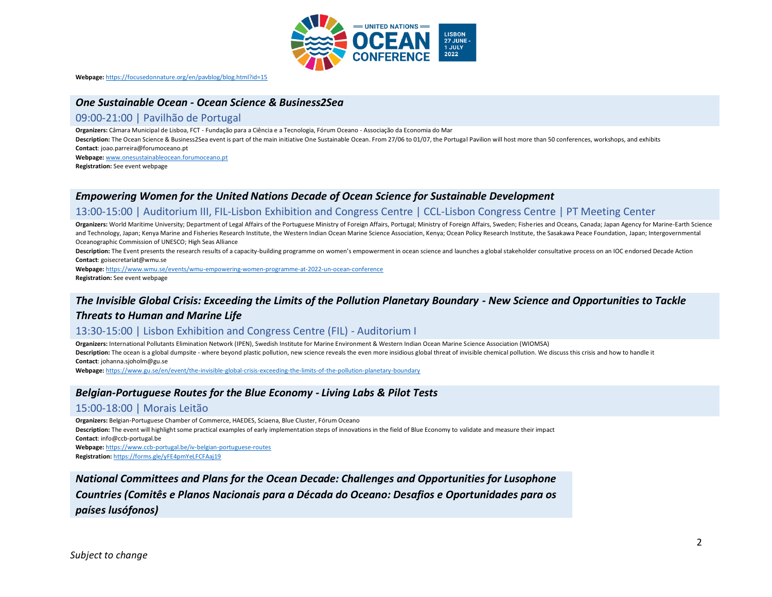

**Webpage:** <https://focusedonnature.org/en/pavblog/blog.html?id=15>

#### *One Sustainable Ocean - Ocean Science & Business2Sea*

#### 09:00-21:00 | Pavilhão de Portugal

**Organizers:** Câmara Municipal de Lisboa, FCT - Fundação para a Ciência e a Tecnologia, Fórum Oceano - Associação da Economia do Mar

**Description:** The Ocean Science & Business2Sea event is part of the main initiative One Sustainable Ocean. From 27/06 to 01/07, the Portugal Pavilion will host more than 50 conferences, workshops, and exhibits **Contact**: joao.parreira@forumoceano.pt

**Webpage:** [www.onesustainableocean.forumoceano.pt](http://www.onesustainableocean.forumoceano.pt/)

**Registration:** See event webpage

#### *Empowering Women for the United Nations Decade of Ocean Science for Sustainable Development*

#### 13:00-15:00 | Auditorium III, FIL-Lisbon Exhibition and Congress Centre | CCL-Lisbon Congress Centre | PT Meeting Center

Organizers: World Maritime University; Department of Legal Affairs of the Portuguese Ministry of Foreign Affairs, Portugal; Ministry of Foreign Affairs, Sweden; Fisheries and Oceans, Canada; Japan Agency for Marine-Earth S and Technology, Japan; Kenya Marine and Fisheries Research Institute, the Western Indian Ocean Marine Science Association, Kenya; Ocean Policy Research Institute, the Sasakawa Peace Foundation, Japan; Intergovernmental Oceanographic Commission of UNESCO; High Seas Alliance

Description: The Event presents the research results of a capacity-building programme on women's empowerment in ocean science and launches a global stakeholder consultative process on an IOC endorsed Decade Action **Contact**: goisecretariat@wmu.se

**Webpage:** <https://www.wmu.se/events/wmu-empowering-women-programme-at-2022-un-ocean-conference> **Registration:** See event webpage

#### *The Invisible Global Crisis: Exceeding the Limits of the Pollution Planetary Boundary - New Science and Opportunities to Tackle*

#### *Threats to Human and Marine Life*

#### 13:30-15:00 | Lisbon Exhibition and Congress Centre (FIL) - Auditorium I

**Organizers:** International Pollutants Elimination Network (IPEN), Swedish Institute for Marine Environment & Western Indian Ocean Marine Science Association (WIOMSA) Description: The ocean is a global dumpsite - where beyond plastic pollution, new science reveals the even more insidious global threat of invisible chemical pollution. We discuss this crisis and how to handle it **Contact**: johanna.sjoholm@gu.se

**Webpage:** <https://www.gu.se/en/event/the-invisible-global-crisis-exceeding-the-limits-of-the-pollution-planetary-boundary>

#### *Belgian-Portuguese Routes for the Blue Economy - Living Labs & Pilot Tests*

#### 15:00-18:00 | Morais Leitão

**Organizers:** Belgian-Portuguese Chamber of Commerce, HAEDES, Sciaena, Blue Cluster, Fórum Oceano **Description:** The event will highlight some practical examples of early implementation steps of innovations in the field of Blue Economy to validate and measure their impact **Contact**: info@ccb-portugal.be

**Webpage:** <https://www.ccb-portugal.be/iv-belgian-portuguese-routes> **Registration:** <https://forms.gle/yFE4pmYeLFCFAaj19>

*National Committees and Plans for the Ocean Decade: Challenges and Opportunities for Lusophone Countries (Comitês e Planos Nacionais para a Década do Oceano: Desafios e Oportunidades para os países lusófonos)*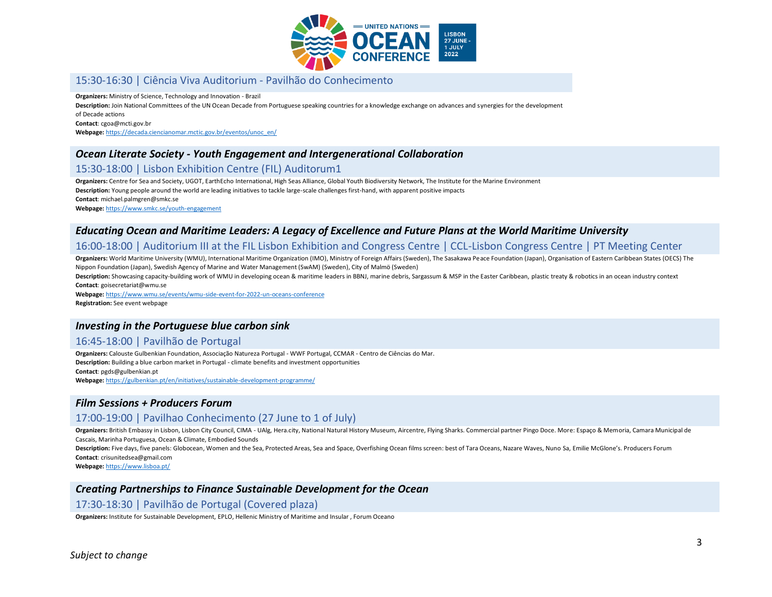

# 15:30-16:30 | Ciência Viva Auditorium - Pavilhão do Conhecimento

**Organizers:** Ministry of Science, Technology and Innovation - Brazil

**Description:** Join National Committees of the UN Ocean Decade from Portuguese speaking countries for a knowledge exchange on advances and synergies for the development

of Decade actions

**Contact**: cgoa@mcti.gov.br

**Webpage:** [https://decada.ciencianomar.mctic.gov.br/eventos/unoc\\_en/](https://decada.ciencianomar.mctic.gov.br/eventos/unoc_en/)

### *Ocean Literate Society - Youth Engagement and Intergenerational Collaboration*

### 15:30-18:00 | Lisbon Exhibition Centre (FIL) Auditorum1

**Organizers:** Centre for Sea and Society, UGOT, EarthEcho International, High Seas Alliance, Global Youth Biodiversity Network, The Institute for the Marine Environment **Description:** Young people around the world are leading initiatives to tackle large-scale challenges first-hand, with apparent positive impacts **Contact**: michael.palmgren@smkc.se **Webpage:** <https://www.smkc.se/youth-engagement>

### *Educating Ocean and Maritime Leaders: A Legacy of Excellence and Future Plans at the World Maritime University*

#### 16:00-18:00 | Auditorium III at the FIL Lisbon Exhibition and Congress Centre | CCL-Lisbon Congress Centre | PT Meeting Center

**Organizers:** World Maritime University (WMU), International Maritime Organization (IMO), Ministry of Foreign Affairs (Sweden), The Sasakawa Peace Foundation (Japan), Organisation of Eastern Caribbean States (OECS) The Nippon Foundation (Japan), Swedish Agency of Marine and Water Management (SwAM) (Sweden), City of Malmö (Sweden)

Description: Showcasing capacity-building work of WMU in developing ocean & maritime leaders in BBNJ, marine debris, Sargassum & MSP in the Easter Caribbean, plastic treaty & robotics in an ocean industry context **Contact**: goisecretariat@wmu.se

**Webpage:** <https://www.wmu.se/events/wmu-side-event-for-2022-un-oceans-conference> **Registration:** See event webpage

#### *Investing in the Portuguese blue carbon sink*

### 16:45-18:00 | Pavilhão de Portugal

**Organizers:** Calouste Gulbenkian Foundation, Associação Natureza Portugal - WWF Portugal, CCMAR - Centro de Ciências do Mar. **Description:** Building a blue carbon market in Portugal - climate benefits and investment opportunities **Contact**: pgds@gulbenkian.pt **Webpage:** <https://gulbenkian.pt/en/initiatives/sustainable-development-programme/>

#### *Film Sessions + Producers Forum*

# 17:00-19:00 | Pavilhao Conhecimento (27 June to 1 of July)

**Organizers:** British Embassy in Lisbon, Lisbon City Council, CIMA - UAlg, Hera.city, National Natural History Museum, Aircentre, Flying Sharks. Commercial partner Pingo Doce. More: Espaço & Memoria, Camara Municipal de Cascais, Marinha Portuguesa, Ocean & Climate, Embodied Sounds

Description: Five days, five panels: Globocean, Women and the Sea, Protected Areas, Sea and Space, Overfishing Ocean films screen: best of Tara Oceans, Nazare Waves, Nuno Sa, Emilie McGlone's. Producers Forum **Contact**: crisunitedsea@gmail.com

**Webpage:** <https://www.lisboa.pt/>

#### *Creating Partnerships to Finance Sustainable Development for the Ocean*

#### 17:30-18:30 | Pavilhão de Portugal (Covered plaza)

**Organizers:** Institute for Sustainable Development, EPLO, Hellenic Ministry of Maritime and Insular , Forum Oceano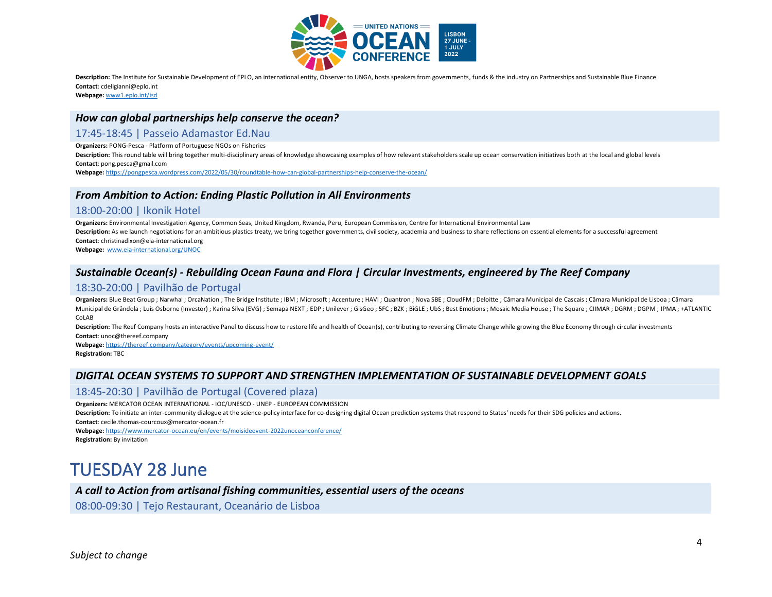

Description: The Institute for Sustainable Development of EPLO, an international entity, Observer to UNGA, hosts speakers from governments, funds & the industry on Partnerships and Sustainable Blue Finance **Contact**: cdeligianni@eplo.int

**Webpage:** [www1.eplo.int/isd](http://www1.eplo.int/isd)

#### *How can global partnerships help conserve the ocean?*

#### 17:45-18:45 | Passeio Adamastor Ed.Nau

**Organizers:** PONG-Pesca - Platform of Portuguese NGOs on Fisheries

Description: This round table will bring together multi-disciplinary areas of knowledge showcasing examples of how relevant stakeholders scale up ocean conservation initiatives both at the local and global levels **Contact**: pong.pesca@gmail.com

**Webpage:** <https://pongpesca.wordpress.com/2022/05/30/roundtable-how-can-global-partnerships-help-conserve-the-ocean/>

# *From Ambition to Action: Ending Plastic Pollution in All Environments*

#### 18:00-20:00 | Ikonik Hotel

**Organizers:** Environmental Investigation Agency, Common Seas, United Kingdom, Rwanda, Peru, European Commission, Centre for International Environmental Law Description: As we launch negotiations for an ambitious plastics treaty, we bring together governments, civil society, academia and business to share reflections on essential elements for a successful agreement **Contact**: christinadixon@eia-international.org **Webpage:** [www.eia-international.org/UNOC](http://www.eia-international.org/UNOC)

# *Sustainable Ocean(s) - Rebuilding Ocean Fauna and Flora | Circular Investments, engineered by The Reef Company*

#### 18:30-20:00 | Pavilhão de Portugal

Organizers: Blue Beat Group ; Narwhal ; OrcaNation ; The Bridge Institute ; IBM ; Microsoft ; Accenture ; HAVI ; Quantron ; Nova SBE ; CloudFM ; Deloitte ; Câmara Municipal de Cascais ; Câmara Municipal de Lisboa ; Câmara Municipal de Grândola ; Luis Osborne (Investor) ; Karina Silva (EVG) ; Semapa NEXT ; EDP ; Unilever ; GisGeo ; 5FC ; BZK ; BiGLE ; UbS ; Best Emotions ; Mosaic Media House ; The Square ; CIIMAR ; DGRM ; DGPM ; IPMA ; +ATLA CoLAB

Description: The Reef Company hosts an interactive Panel to discuss how to restore life and health of Ocean(s), contributing to reversing Climate Change while growing the Blue Economy through circular investments **Contact**: unoc@thereef.company

**Webpage:** <https://thereef.company/category/events/upcoming-event/>

**Registration:** TBC

# *DIGITAL OCEAN SYSTEMS TO SUPPORT AND STRENGTHEN IMPLEMENTATION OF SUSTAINABLE DEVELOPMENT GOALS*

# 18:45-20:30 | Pavilhão de Portugal (Covered plaza)

**Organizers:** MERCATOR OCEAN INTERNATIONAL - IOC/UNESCO - UNEP - EUROPEAN COMMISSION

**Description:** To initiate an inter-community dialogue at the science-policy interface for co-designing digital Ocean prediction systems that respond to States' needs for their SDG policies and actions. **Contact**: cecile.thomas-courcoux@mercator-ocean.fr

**Webpage:** <https://www.mercator-ocean.eu/en/events/moisideevent-2022unoceanconference/>

**Registration:** By invitation

# TUESDAY 28 June

#### *A call to Action from artisanal fishing communities, essential users of the oceans*

08:00-09:30 | Tejo Restaurant, Oceanário de Lisboa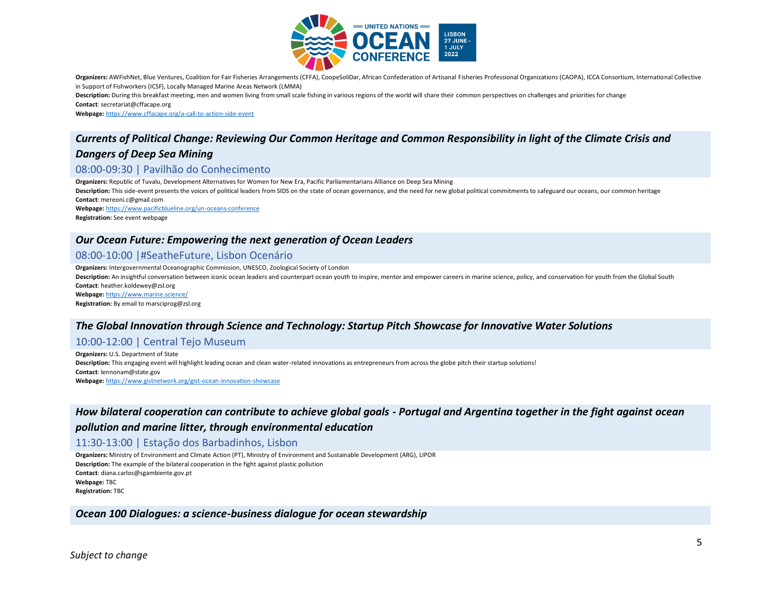

Organizers: AWFishNet, Blue Ventures, Coalition for Fair Fisheries Arrangements (CFFA), CoopeSoliDar, African Confederation of Artisanal Fisheries Professional Organizations (CAOPA), ICCA Consortium, International Collecti in Support of Fishworkers (ICSF), Locally Managed Marine Areas Network (LMMA)

**Description:** During this breakfast meeting, men and women living from small scale fishing in various regions of the world will share their common perspectives on challenges and priorities for change **Contact**: secretariat@cffacape.org

**Webpage:** <https://www.cffacape.org/a-call-to-action-side-event>

# *Currents of Political Change: Reviewing Our Common Heritage and Common Responsibility in light of the Climate Crisis and Dangers of Deep Sea Mining*

#### 08:00-09:30 | Pavilhão do Conhecimento

**Organizers:** Republic of Tuvalu, Development Alternatives for Women for New Era, Pacific Parliamentarians Alliance on Deep Sea Mining Description: This side-event presents the voices of political leaders from SIDS on the state of ocean governance, and the need for new global political commitments to safeguard our oceans, our common heritage **Contact**: mereoni.c@gmail.com **Webpage:** <https://www.pacificblueline.org/un-oceans-conference>

**Registration:** See event webpage

#### *Our Ocean Future: Empowering the next generation of Ocean Leaders*

#### 08:00-10:00 |#SeatheFuture, Lisbon Ocenário

**Organizers:** Intergovernmental Oceanographic Commission, UNESCO, Zoological Society of London

Description: An insightful conversation between iconic ocean leaders and counterpart ocean youth to inspire, mentor and empower careers in marine science, policy, and conservation for youth from the Global South **Contact**: heather.koldewey@zsl.org **Webpage:** <https://www.marine.science/>

**Registration:** By email to marsciprog@zsl.org

#### *The Global Innovation through Science and Technology: Startup Pitch Showcase for Innovative Water Solutions*

#### 10:00-12:00 | Central Tejo Museum

**Organizers:** U.S. Department of State **Description:** This engaging event will highlight leading ocean and clean water-related innovations as entrepreneurs from across the globe pitch their startup solutions! **Contact**: lennonam@state.gov **Webpage:** <https://www.gistnetwork.org/gist-ocean-innovation-showcase>

### *How bilateral cooperation can contribute to achieve global goals - Portugal and Argentina together in the fight against ocean*

#### *pollution and marine litter, through environmental education*

11:30-13:00 | Estação dos Barbadinhos, Lisbon

**Organizers:** Ministry of Environment and Climate Action (PT), Ministry of Environment and Sustainable Development (ARG), LIPOR **Description:** The example of the bilateral cooperation in the fight against plastic pollution **Contact**: diana.carlos@sgambiente.gov.pt **Webpage:** TBC

**Registration:** TBC

*Ocean 100 Dialogues: a science-business dialogue for ocean stewardship*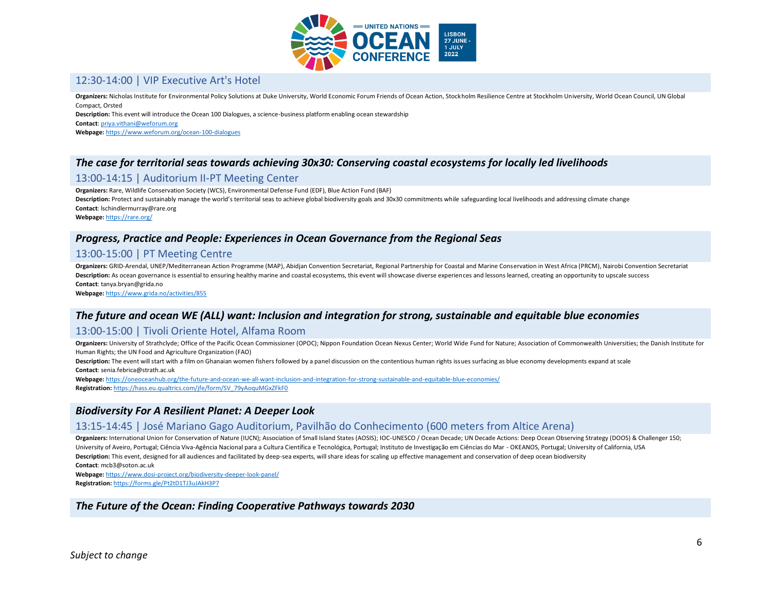

### 12:30-14:00 | VIP Executive Art's Hotel

**Organizers:** Nicholas Institute for Environmental Policy Solutions at Duke University, World Economic Forum Friends of Ocean Action, Stockholm Resilience Centre at Stockholm University, World Ocean Council, UN Global Compact, Orsted

**Description:** This event will introduce the Ocean 100 Dialogues, a science-business platform enabling ocean stewardship

**Contact**[: priya.vithani@weforum.org](mailto:priya.vithani@weforum.org)

**Webpage:** <https://www.weforum.org/ocean-100-dialogues>

### *The case for territorial seas towards achieving 30x30: Conserving coastal ecosystems for locally led livelihoods*

#### 13:00-14:15 | Auditorium II-PT Meeting Center

**Organizers:** Rare, Wildlife Conservation Society (WCS), Environmental Defense Fund (EDF), Blue Action Fund (BAF)

Description: Protect and sustainably manage the world's territorial seas to achieve global biodiversity goals and 30x30 commitments while safeguarding local livelihoods and addressing climate change **Contact**: lschindlermurray@rare.org

**Webpage:** <https://rare.org/>

# *Progress, Practice and People: Experiences in Ocean Governance from the Regional Seas*

### 13:00-15:00 | PT Meeting Centre

**Organizers:** GRID-Arendal, UNEP/Mediterranean Action Programme (MAP), Abidjan Convention Secretariat, Regional Partnership for Coastal and Marine Conservation in West Africa (PRCM), Nairobi Convention Secretariat Description: As ocean governance is essential to ensuring healthy marine and coastal ecosystems, this event will showcase diverse experiences and lessons learned, creating an opportunity to upscale success **Contact**: tanya.bryan@grida.no

**Webpage:** <https://www.grida.no/activities/855>

# *The future and ocean WE (ALL) want: Inclusion and integration for strong, sustainable and equitable blue economies*

# 13:00-15:00 | Tivoli Oriente Hotel, Alfama Room

Organizers: University of Strathclyde; Office of the Pacific Ocean Commissioner (OPOC); Nippon Foundation Ocean Nexus Center; World Wide Fund for Nature; Association of Commonwealth Universities; the Danish Institute for Human Rights; the UN Food and Agriculture Organization (FAO)

Description: The event will start with a film on Ghanaian women fishers followed by a panel discussion on the contentious human rights issues surfacing as blue economy developments expand at scale **Contact**: senia.febrica@strath.ac.uk

**Webpage:** <https://oneoceanhub.org/the-future-and-ocean-we-all-want-inclusion-and-integration-for-strong-sustainable-and-equitable-blue-economies/> **Registration:** [https://hass.eu.qualtrics.com/jfe/form/SV\\_79yAoquMGxZFkF0](https://hass.eu.qualtrics.com/jfe/form/SV_79yAoquMGxZFkF0)

#### *Biodiversity For A Resilient Planet: A Deeper Look*

#### 13:15-14:45 | José Mariano Gago Auditorium, Pavilhão do Conhecimento (600 meters from Altice Arena)

**Organizers:** International Union for Conservation of Nature (IUCN); Association of Small Island States (AOSIS); IOC-UNESCO / Ocean Decade; UN Decade Actions: Deep Ocean Observing Strategy (DOOS) & Challenger 150; University of Aveiro, Portugal; Ciência Viva-Agência Nacional para a Cultura Científica e Tecnológica, Portugal; Instituto de Investigação em Ciências do Mar - OKEANOS, Portugal; University of California, USA **Description:** This event, designed for all audiences and facilitated by deep-sea experts, will share ideas for scaling up effective management and conservation of deep ocean biodiversity

**Contact**: mcb3@soton.ac.uk

**Webpage:** <https://www.dosi-project.org/biodiversity-deeper-look-panel/> **Registration:** <https://forms.gle/Pt2tD1TJ3uJAkH3P7>

#### *The Future of the Ocean: Finding Cooperative Pathways towards 2030*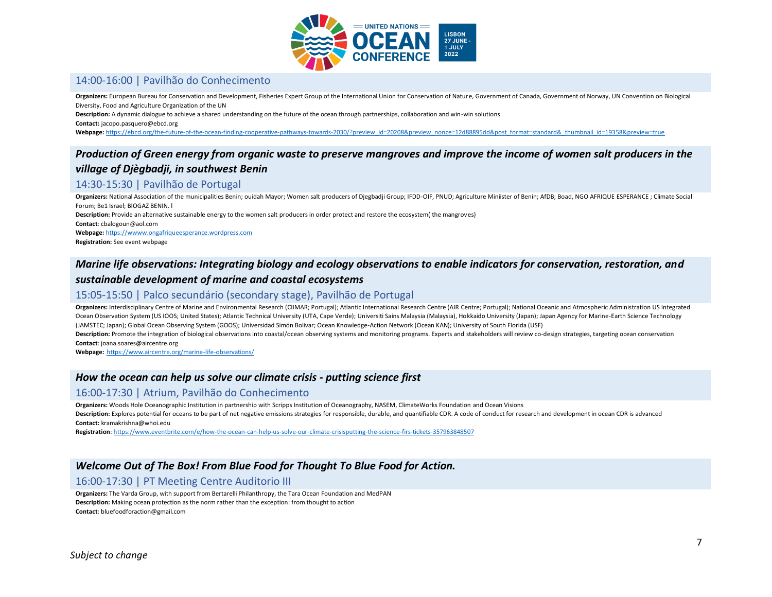

### 14:00-16:00 | Pavilhão do Conhecimento

**Organizers:** European Bureau for Conservation and Development, Fisheries Expert Group of the International Union for Conservation of Nature, Government of Canada, Government of Norway, UN Convention on Biological Diversity, Food and Agriculture Organization of the UN

**Description:** A dynamic dialogue to achieve a shared understanding on the future of the ocean through partnerships, collaboration and win-win solutions **Contact:** jacopo.pasquero@ebcd.org

Webpage: https://ebcd.org/the-future-of-the-ocean-finding-cooperative-pathways-towards-2030/?preview id=20208&preview\_nonce=12d88895dd&post\_format=standard&\_thumbnail\_id=19358&preview=true

# *Production of Green energy from organic waste to preserve mangroves and improve the income of women salt producers in the village of Djègbadji, in southwest Benin*

### 14:30-15:30 | Pavilhão de Portugal

**Organizers:** National Association of the municipalities Benin; ouidah Mayor; Women salt producers of Djegbadji Group; IFDD-OIF, PNUD; Agriculture Miniister of Benin; AfDB; Boad, NGO AFRIQUE ESPERANCE ; Climate Social Forum; Be1 Israel; BIOGAZ BENIN. l

**Description:** Provide an alternative sustainable energy to the women salt producers in order protect and restore the ecosystem( the mangroves)

**Contact**: cbalogoun@aol.com

**Webpage:** [https://wwww.ongafriqueesperance.wordpress.com](https://wwww.ongafriqueesperance.wordpress.com/)

**Registration:** See event webpage

#### *Marine life observations: Integrating biology and ecology observations to enable indicators for conservation, restoration, and*

#### *sustainable development of marine and coastal ecosystems*

#### 15:05-15:50 | Palco secundário (secondary stage), Pavilhão de Portugal

Organizers: Interdisciplinary Centre of Marine and Environmental Research (CIIMAR; Portugal); Atlantic International Research Centre (AIR Centre; Portugal); National Oceanic and Atmospheric Administration US Integrated Ocean Observation System (US IOOS; United States); Atlantic Technical University (UTA, Cape Verde); Universiti Sains Malaysia (Malaysia), Hokkaido University (Japan); Japan Agency for Marine-Earth Science Technology (JAMSTEC; Japan); Global Ocean Observing System (GOOS); Universidad Simón Bolivar; Ocean Knowledge-Action Network (Ocean KAN); University of South Florida (USF)

Description: Promote the integration of biological observations into coastal/ocean observing systems and monitoring programs. Experts and stakeholders will review co-design strategies, targeting ocean conservation **Contact**: joana.soares@aircentre.org

**Webpage:** <https://www.aircentre.org/marine-life-observations/>

# *How the ocean can help us solve our climate crisis - putting science first*

#### 16:00-17:30 | Atrium, Pavilhão do Conhecimento

**Organizers:** Woods Hole Oceanographic Institution in partnership with Scripps Institution of Oceanography, NASEM, ClimateWorks Foundation and Ocean Visions **Description:** Explores potential for oceans to be part of net negative emissions strategies for responsible, durable, and quantifiable CDR. A code of conduct for research and development in ocean CDR is advanced **Contact:** kramakrishna@whoi.edu

**Registration**[: https://www.eventbrite.com/e/how-the-ocean-can-help-us-solve-our-climate-crisisputting-the-science-firs-tickets-357963848507](https://www.eventbrite.com/e/how-the-ocean-can-help-us-solve-our-climate-crisisputting-the-science-firs-tickets-357963848507)

#### *Welcome Out of The Box! From Blue Food for Thought To Blue Food for Action.*

#### 16:00-17:30 | PT Meeting Centre Auditorio III

**Organizers:** The Varda Group, with support from Bertarelli Philanthropy, the Tara Ocean Foundation and MedPAN **Description:** Making ocean protection as the norm rather than the exception: from thought to action **Contact**: bluefoodforaction@gmail.com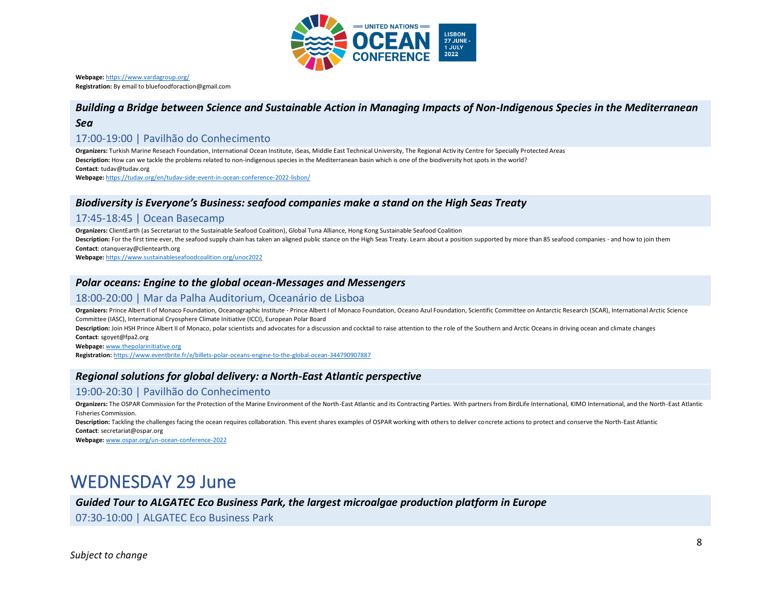

**Webpage:** <https://www.vardagroup.org/> **Registration:** By email to bluefoodforaction@gmail.com

# *Building a Bridge between Science and Sustainable Action in Managing Impacts of Non-Indigenous Species in the Mediterranean*

#### *Sea*

#### 17:00-19:00 | Pavilhão do Conhecimento

**Organizers:** Turkish Marine Reseach Foundation, International Ocean Institute, iSeas, Middle East Technical University, The Regional Activ ity Centre for Specially Protected Areas **Description:** How can we tackle the problems related to non-indigenous species in the Mediterranean basin which is one of the biodiversity hot spots in the world? **Contact**: tudav@tudav.org **Webpage:** <https://tudav.org/en/tudav-side-event-in-ocean-conference-2022-lisbon/>

# *Biodiversity is Everyone's Business: seafood companies make a stand on the High Seas Treaty*

#### 17:45-18:45 | Ocean Basecamp

**Organizers:** ClientEarth (as Secretariat to the Sustainable Seafood Coalition), Global Tuna Alliance, Hong Kong Sustainable Seafood Coalition Description: For the first time ever, the seafood supply chain has taken an aligned public stance on the High Seas Treaty. Learn about a position supported by more than 85 seafood companies - and how to join them **Contact**: otanqueray@clientearth.org

**Webpage:** <https://www.sustainableseafoodcoalition.org/unoc2022>

#### *Polar oceans: Engine to the global ocean-Messages and Messengers*

#### 18:00-20:00 | Mar da Palha Auditorium, Oceanário de Lisboa

Organizers: Prince Albert II of Monaco Foundation, Oceanographic Institute - Prince Albert I of Monaco Foundation, Oceano Azul Foundation, Scientific Committee on Antarctic Research (SCAR), International Arctic Science Committee (IASC), International Cryosphere Climate Initiative (ICCI), European Polar Board

Description: Join HSH Prince Albert II of Monaco, polar scientists and advocates for a discussion and cocktail to raise attention to the role of the Southern and Arctic Oceans in driving ocean and climate changes **Contact**: sgoyet@fpa2.org

**Webpage:** [www.thepolarinitiative.org](http://www.thepolarinitiative.org/)

**Registration:** <https://www.eventbrite.fr/e/billets-polar-oceans-engine-to-the-global-ocean-344790907887>

# *Regional solutions for global delivery: a North-East Atlantic perspective*

# 19:00-20:30 | Pavilhão do Conhecimento

Organizers: The OSPAR Commission for the Protection of the Marine Environment of the North-East Atlantic and its Contracting Parties. With partners from BirdLife International, KIMO International, and the North-East Atlant Fisheries Commission.

Description: Tackling the challenges facing the ocean requires collaboration. This event shares examples of OSPAR working with others to deliver concrete actions to protect and conserve the North-East Atlantic **Contact**: secretariat@ospar.org

**Webpage:** [www.ospar.org/un-ocean-conference-2022](http://www.ospar.org/un-ocean-conference-2022)

# WEDNESDAY 29 June

#### *Guided Tour to ALGATEC Eco Business Park, the largest microalgae production platform in Europe*

07:30-10:00 | ALGATEC Eco Business Park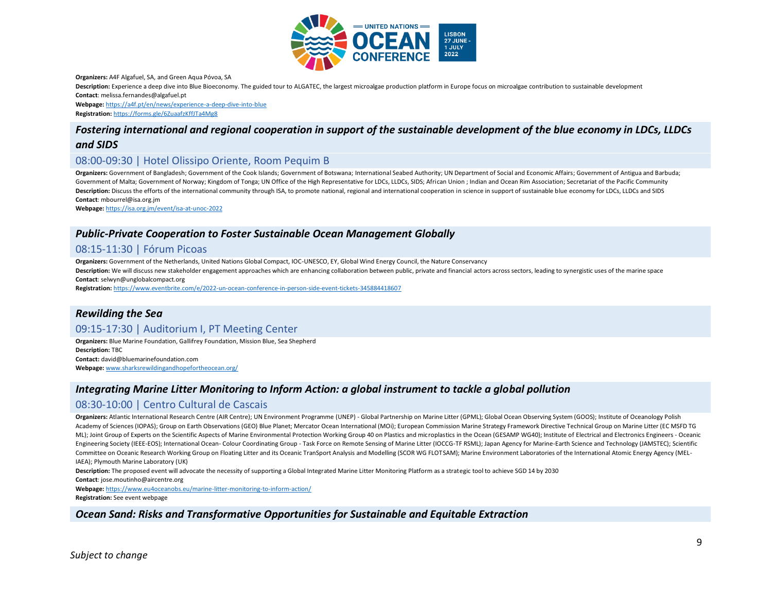

**Organizers:** A4F Algafuel, SA, and Green Aqua Póvoa, SA

**Description:** Experience a deep dive into Blue Bioeconomy. The guided tour to ALGATEC, the largest microalgae production platform in Europe focus on microalgae contribution to sustainable development **Contact**: melissa.fernandes@algafuel.pt

**Webpage:** <https://a4f.pt/en/news/experience-a-deep-dive-into-blue> **Registration:** <https://forms.gle/6ZuaafzKffJTa4Mg8>

# *Fostering international and regional cooperation in support of the sustainable development of the blue economy in LDCs, LLDCs and SIDS*

### 08:00-09:30 | Hotel Olissipo Oriente, Room Pequim B

**Organizers:** Government of Bangladesh; Government of the Cook Islands; Government of Botswana; International Seabed Authority; UN Department of Social and Economic Affairs; Government of Antigua and Barbuda; Government of Malta; Government of Norway; Kingdom of Tonga; UN Office of the High Representative for LDCs, LLDCs, SIDS; African Union ; Indian and Ocean Rim Association; Secretariat of the Pacific Community Description: Discuss the efforts of the international community through ISA, to promote national, regional and international cooperation in science in support of sustainable blue economy for LDCs, LLDCs and SIDS **Contact**: mbourrel@isa.org.jm

**Webpage:** <https://isa.org.jm/event/isa-at-unoc-2022>

#### *Public-Private Cooperation to Foster Sustainable Ocean Management Globally*

#### 08:15-11:30 | Fórum Picoas

**Organizers:** Government of the Netherlands, United Nations Global Compact, IOC-UNESCO, EY, Global Wind Energy Council, the Nature Conservancy Description: We will discuss new stakeholder engagement approaches which are enhancing collaboration between public, private and financial actors across sectors, leading to synergistic uses of the marine space **Contact**: selwyn@unglobalcompact.org

**Registration:** <https://www.eventbrite.com/e/2022-un-ocean-conference-in-person-side-event-tickets-345884418607>

#### *Rewilding the Sea*

# 09:15-17:30 | Auditorium I, PT Meeting Center

**Organizers:** Blue Marine Foundation, Gallifrey Foundation, Mission Blue, Sea Shepherd **Description:** TBC **Contact:** david@bluemarinefoundation.com

**Webpage:** [www.sharksrewildingandhopefortheocean.org/](http://www.sharksrewildingandhopefortheocean.org/)

#### *Integrating Marine Litter Monitoring to Inform Action: a global instrument to tackle a global pollution*

#### 08:30-10:00 | Centro Cultural de Cascais

**Organizers:** Atlantic International Research Centre (AIR Centre); UN Environment Programme (UNEP) - Global Partnership on Marine Litter (GPML); Global Ocean Observing System (GOOS); Institute of Oceanology Polish Academy of Sciences (IOPAS); Group on Earth Observations (GEO) Blue Planet; Mercator Ocean International (MOi); European Commission Marine Strategy Framework Directive Technical Group on Marine Litter (EC MSFD TG ML); Joint Group of Experts on the Scientific Aspects of Marine Environmental Protection Working Group 40 on Plastics and microplastics in the Ocean (GESAMP WG40); Institute of Electrical and Electronics Engineers - Oceanic Engineering Society (IEEE-EOS); International Ocean- Colour Coordinating Group - Task Force on Remote Sensing of Marine Litter (IOCCG-TF RSML); Japan Agency for Marine-Earth Science and Technology (JAMSTEC); Scientific Committee on Oceanic Research Working Group on Floating Litter and its Oceanic TranSport Analysis and Modelling (SCOR WG FLOTSAM); Marine Environment Laboratories of the International Atomic Energy Agency (MEL-IAEA); Plymouth Marine Laboratory (UK)

**Description:** The proposed event will advocate the necessity of supporting a Global Integrated Marine Litter Monitoring Platform as a strategic tool to achieve SGD 14 by 2030

**Contact**: jose.moutinho@aircentre.org

**Webpage:** <https://www.eu4oceanobs.eu/marine-litter-monitoring-to-inform-action/> **Registration:** See event webpage

#### *Ocean Sand: Risks and Transformative Opportunities for Sustainable and Equitable Extraction*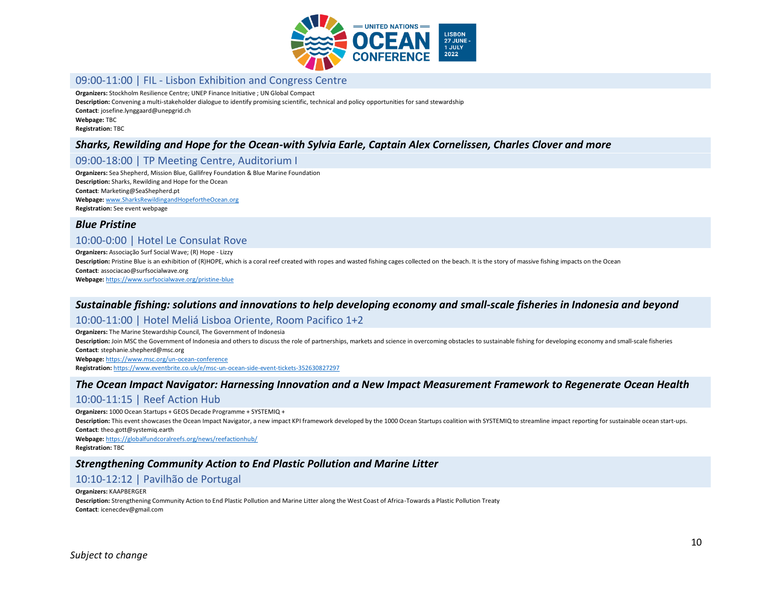

#### 09:00-11:00 | FIL - Lisbon Exhibition and Congress Centre

**Organizers:** Stockholm Resilience Centre; UNEP Finance Initiative ; UN Global Compact

**Description:** Convening a multi-stakeholder dialogue to identify promising scientific, technical and policy opportunities for sand stewardship

**Contact**: josefine.lynggaard@unepgrid.ch **Webpage:** TBC

**Registration:** TBC

#### *Sharks, Rewilding and Hope for the Ocean-with Sylvia Earle, Captain Alex Cornelissen, Charles Clover and more*

### 09:00-18:00 | TP Meeting Centre, Auditorium I

**Organizers:** Sea Shepherd, Mission Blue, Gallifrey Foundation & Blue Marine Foundation **Description:** Sharks, Rewilding and Hope for the Ocean **Contact**: Marketing@SeaShepherd.pt **Webpage:** [www.SharksRewildingandHopefortheOcean.org](http://www.sharksrewildingandhopefortheocean.org/) **Registration:** See event webpage

#### *Blue Pristine*

#### 10:00-0:00 | Hotel Le Consulat Rove

**Organizers:** Associação Surf Social Wave; (R) Hope - Lizzy Description: Pristine Blue is an exhibition of (R)HOPE, which is a coral reef created with ropes and wasted fishing cages collected on the beach. It is the story of massive fishing impacts on the Ocean **Contact**: associacao@surfsocialwave.org **Webpage:** <https://www.surfsocialwave.org/pristine-blue>

### *Sustainable fishing: solutions and innovations to help developing economy and small-scale fisheries in Indonesia and beyond*

#### 10:00-11:00 | Hotel Meliá Lisboa Oriente, Room Pacifico 1+2

**Organizers:** The Marine Stewardship Council, The Government of Indonesia Description: Join MSC the Government of Indonesia and others to discuss the role of partnerships, markets and science in overcoming obstacles to sustainable fishing for developing economy and small-scale fisheries **Contact**: stephanie.shepherd@msc.org **Webpage:** <https://www.msc.org/un-ocean-conference> **Registration:** <https://www.eventbrite.co.uk/e/msc-un-ocean-side-event-tickets-352630827297>

#### *The Ocean Impact Navigator: Harnessing Innovation and a New Impact Measurement Framework to Regenerate Ocean Health*

#### 10:00-11:15 | Reef Action Hub

**Organizers:** 1000 Ocean Startups + GEOS Decade Programme + SYSTEMIQ + Description: This event showcases the Ocean Impact Navigator, a new impact KPI framework developed by the 1000 Ocean Startups coalition with SYSTEMIQ to streamline impact reporting for sustainable ocean start-ups. **Contact**: theo.gott@systemiq.earth

**Webpage:** <https://globalfundcoralreefs.org/news/reefactionhub/> **Registration:** TBC

#### *Strengthening Community Action to End Plastic Pollution and Marine Litter*

# 10:10-12:12 | Pavilhão de Portugal

#### **Organizers:** KAAPBERGER **Description:** Strengthening Community Action to End Plastic Pollution and Marine Litter along the West Coast of Africa-Towards a Plastic Pollution Treaty **Contact**: icenecdev@gmail.com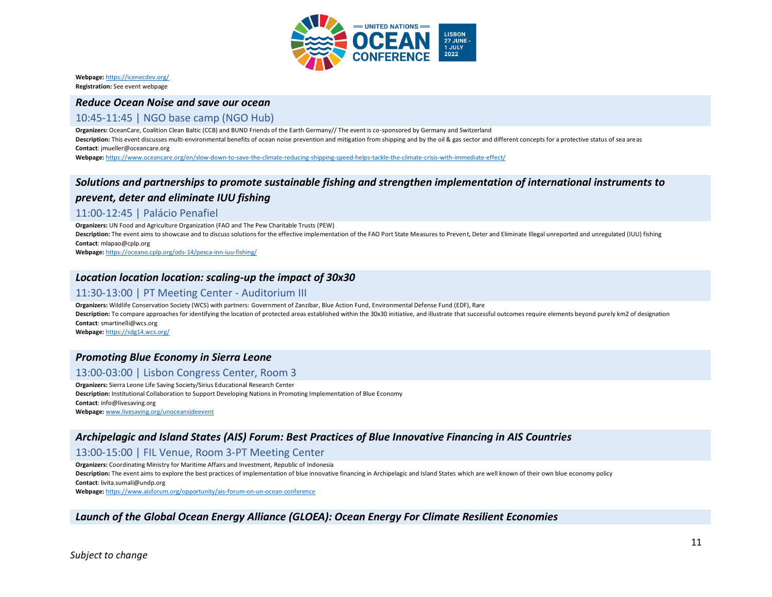

**Webpage:** <https://icenecdev.org/> **Registration:** See event webpage

#### *Reduce Ocean Noise and save our ocean*

### 10:45-11:45 | NGO base camp (NGO Hub)

**Organizers:** OceanCare, Coalition Clean Baltic (CCB) and BUND Friends of the Earth Germany// The event is co-sponsored by Germany and Switzerland Description: This event discusses multi-environmental benefits of ocean noise prevention and mitigation from shipping and by the oil & gas sector and different concepts for a protective status of sea areas **Contact**: jmueller@oceancare.org

**Webpage:** <https://www.oceancare.org/en/slow-down-to-save-the-climate-reducing-shipping-speed-helps-tackle-the-climate-crisis-with-immediate-effect/>

# *Solutions and partnerships to promote sustainable fishing and strengthen implementation of international instruments to prevent, deter and eliminate IUU fishing*

### 11:00-12:45 | Palácio Penafiel

**Organizers:** UN Food and Agriculture Organization (FAO and The Pew Charitable Trusts (PEW)

Description: The event aims to showcase and to discuss solutions for the effective implementation of the FAO Port State Measures to Prevent, Deter and Eliminate Illegal unreported and unregulated (IUU) fishing **Contact**: mlapao@cplp.org

**Webpage:** <https://oceano.cplp.org/ods-14/pesca-inn-iuu-fishing/>

### *Location location location: scaling-up the impact of 30x30*

#### 11:30-13:00 | PT Meeting Center - Auditorium III

**Organizers:** Wildlife Conservation Society (WCS) with partners: Government of Zanzibar, Blue Action Fund, Environmental Defense Fund (EDF), Rare Description: To compare approaches for identifying the location of protected areas established within the 30x30 initiative, and illustrate that successful outcomes require elements beyond purely km2 of designation **Contact**: smartinelli@wcs.org

**Webpage:** <https://sdg14.wcs.org/>

# *Promoting Blue Economy in Sierra Leone*

# 13:00-03:00 | Lisbon Congress Center, Room 3

**Organizers:** Sierra Leone Life Saving Society/Sirius Educational Research Center **Description:** Institutional Collaboration to Support Developing Nations in Promoting Implementation of Blue Economy **Contact**: info@livesaving.org **Webpage:** [www.livesaving.org/unoceansideevent](http://www.livesaving.org/unoceansideevent)

#### *Archipelagic and Island States (AIS) Forum: Best Practices of Blue Innovative Financing in AIS Countries*

13:00-15:00 | FIL Venue, Room 3-PT Meeting Center

**Organizers:** Coordinating Ministry for Maritime Affairs and Investment, Republic of Indonesia

**Description:** The event aims to explore the best practices of implementation of blue innovative financing in Archipelagic and Island States which are well known of their own blue economy policy **Contact**: livita.sumali@undp.org

**Webpage:** <https://www.aisforum.org/opportunity/ais-forum-on-un-ocean-conference>

#### *Launch of the Global Ocean Energy Alliance (GLOEA): Ocean Energy For Climate Resilient Economies*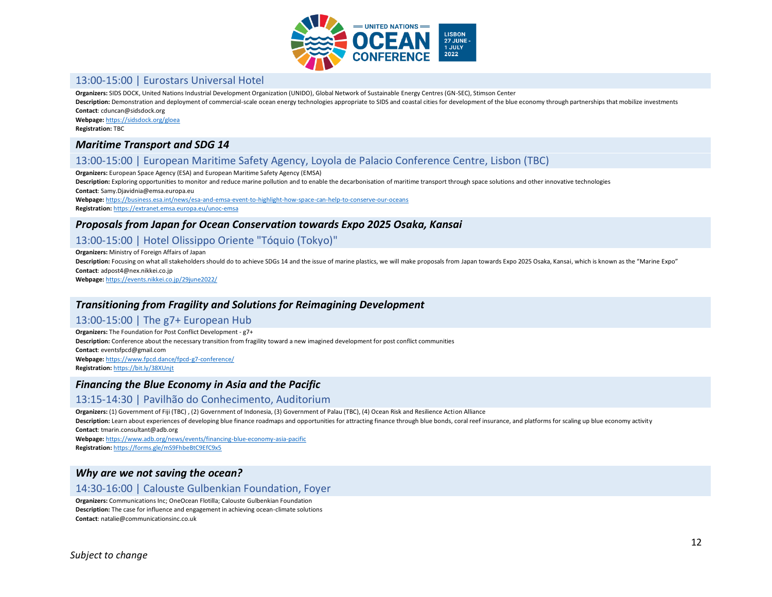

# 13:00-15:00 | Eurostars Universal Hotel

**Organizers:** SIDS DOCK, United Nations Industrial Development Organization (UNIDO), Global Network of Sustainable Energy Centres (GN-SEC), Stimson Center

Description: Demonstration and deployment of commercial-scale ocean energy technologies appropriate to SIDS and coastal cities for development of the blue economy through partnerships that mobilize investments **Contact**: cduncan@sidsdock.org

**Webpage:** <https://sidsdock.org/gloea>

**Registration:** TBC

#### *Maritime Transport and SDG 14*

# 13:00-15:00 | European Maritime Safety Agency, Loyola de Palacio Conference Centre, Lisbon (TBC)

**Organizers:** European Space Agency (ESA) and European Maritime Safety Agency (EMSA)

**Description:** Exploring opportunities to monitor and reduce marine pollution and to enable the decarbonisation of maritime transport through space solutions and other innovative technologies **Contact**: Samy.Djavidnia@emsa.europa.eu

**Webpage:** <https://business.esa.int/news/esa-and-emsa-event-to-highlight-how-space-can-help-to-conserve-our-oceans> **Registration:** <https://extranet.emsa.europa.eu/unoc-emsa>

#### *Proposals from Japan for Ocean Conservation towards Expo 2025 Osaka, Kansai*

# 13:00-15:00 | Hotel Olissippo Oriente "Tóquio (Tokyo)"

**Organizers:** Ministry of Foreign Affairs of Japan

**Description:** Focusing on what all stakeholders should do to achieve SDGs 14 and the issue of marine plastics, we will make proposals from Japan towards Expo 2025 Osaka, Kansai, which is known as the "Marine Expo" **Contact**: adpost4@nex.nikkei.co.jp

**Webpage:** <https://events.nikkei.co.jp/29june2022/>

#### *Transitioning from Fragility and Solutions for Reimagining Development*

#### 13:00-15:00 | The g7+ European Hub

**Organizers:** The Foundation for Post Conflict Development - g7+ **Description:** Conference about the necessary transition from fragility toward a new imagined development for post conflict communities **Contact**: eventsfpcd@gmail.com **Webpage:** <https://www.fpcd.dance/fpcd-g7-conference/> **Registration:** <https://bit.ly/38XUnjt>

#### *Financing the Blue Economy in Asia and the Pacific*

#### 13:15-14:30 | Pavilhão do Conhecimento, Auditorium

**Organizers:** (1) Government of Fiji (TBC) , (2) Government of Indonesia, (3) Government of Palau (TBC), (4) Ocean Risk and Resilience Action Alliance Description: Learn about experiences of developing blue finance roadmaps and opportunities for attracting finance through blue bonds, coral reef insurance, and platforms for scaling up blue economy activity **Contact**: tmarin.consultant@adb.org

**Webpage:** <https://www.adb.org/news/events/financing-blue-economy-asia-pacific> **Registration:** <https://forms.gle/mS9FhbeBtC9EfC9x5>

#### *Why are we not saving the ocean?*

### 14:30-16:00 | Calouste Gulbenkian Foundation, Foyer

**Organizers:** Communications Inc; OneOcean Flotilla; Calouste Gulbenkian Foundation **Description:** The case for influence and engagement in achieving ocean-climate solutions **Contact**: natalie@communicationsinc.co.uk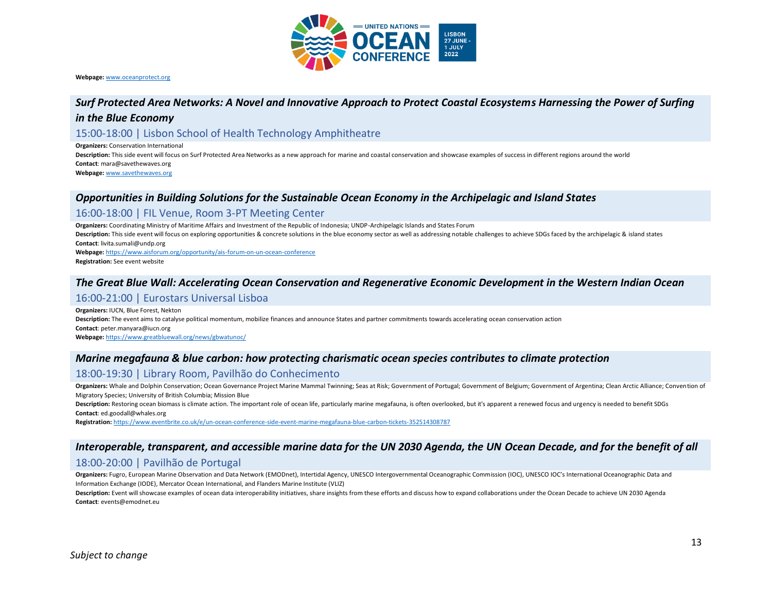

**Webpage:** [www.oceanprotect.org](http://www.oceanprotect.org/)

#### *Surf Protected Area Networks: A Novel and Innovative Approach to Protect Coastal Ecosystems Harnessing the Power of Surfing*

#### *in the Blue Economy*

#### 15:00-18:00 | Lisbon School of Health Technology Amphitheatre

**Organizers:** Conservation International

**Description:** This side event will focus on Surf Protected Area Networks as a new approach for marine and coastal conservation and showcase examples of success in different regions around the world **Contact**: mara@savethewaves.org

**Webpage:** [www.savethewaves.org](http://www.savethewaves.org/)

#### *Opportunities in Building Solutions for the Sustainable Ocean Economy in the Archipelagic and Island States*

#### 16:00-18:00 | FIL Venue, Room 3-PT Meeting Center

**Organizers:** Coordinating Ministry of Maritime Affairs and Investment of the Republic of Indonesia; UNDP-Archipelagic Islands and States Forum

Description: This side event will focus on exploring opportunities & concrete solutions in the blue economy sector as well as addressing notable challenges to achieve SDGs faced by the archipelagic & island states **Contact**: livita.sumali@undp.org

**Webpage:** <https://www.aisforum.org/opportunity/ais-forum-on-un-ocean-conference>

**Registration:** See event website

#### *The Great Blue Wall: Accelerating Ocean Conservation and Regenerative Economic Development in the Western Indian Ocean*

#### 16:00-21:00 | Eurostars Universal Lisboa

**Organizers:** IUCN, Blue Forest, Nekton **Description:** The event aims to catalyse political momentum, mobilize finances and announce States and partner commitments towards accelerating ocean conservation action **Contact**: peter.manyara@iucn.org **Webpage:** <https://www.greatbluewall.org/news/gbwatunoc/>

#### *Marine megafauna & blue carbon: how protecting charismatic ocean species contributes to climate protection*

#### 18:00-19:30 | Library Room, Pavilhão do Conhecimento

Organizers: Whale and Dolphin Conservation; Ocean Governance Project Marine Mammal Twinning; Seas at Risk; Government of Portugal; Government of Belgium; Government of Argentina; Clean Arctic Alliance; Convention of Migratory Species; University of British Columbia; Mission Blue

Description: Restoring ocean biomass is climate action. The important role of ocean life, particularly marine megafauna, is often overlooked, but it's apparent a renewed focus and urgency is needed to benefit SDGs **Contact**: ed.goodall@whales.org

**Registration:** <https://www.eventbrite.co.uk/e/un-ocean-conference-side-event-marine-megafauna-blue-carbon-tickets-352514308787>

#### *Interoperable, transparent, and accessible marine data for the UN 2030 Agenda, the UN Ocean Decade, and for the benefit of all*

#### 18:00-20:00 | Pavilhão de Portugal

**Organizers:** Fugro, European Marine Observation and Data Network (EMODnet), Intertidal Agency, UNESCO Intergovernmental Oceanographic Commission (IOC), UNESCO IOC's International Oceanographic Data and Information Exchange (IODE), Mercator Ocean International, and Flanders Marine Institute (VLIZ)

**Description:** Event will showcase examples of ocean data interoperability initiatives, share insights from these efforts and discuss how to expand collaborations under the Ocean Decade to achieve UN 2030 Agenda **Contact**: events@emodnet.eu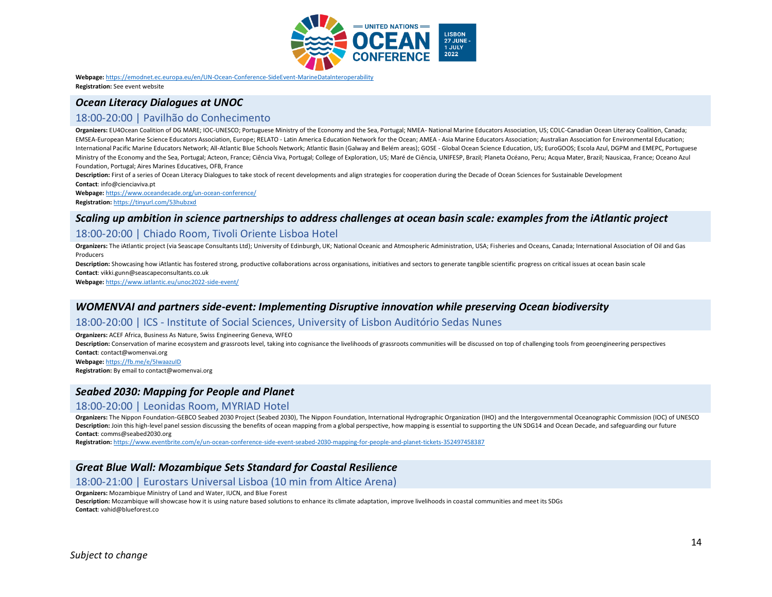

**Webpage:** <https://emodnet.ec.europa.eu/en/UN-Ocean-Conference-SideEvent-MarineDataInteroperability> **Registration:** See event website

# *Ocean Literacy Dialogues at UNOC*

### 18:00-20:00 | Pavilhão do Conhecimento

**Organizers:** EU4Ocean Coalition of DG MARE; IOC-UNESCO; Portuguese Ministry of the Economy and the Sea, Portugal; NMEA- National Marine Educators Association, US; COLC-Canadian Ocean Literacy Coalition, Canada; EMSEA-European Marine Science Educators Association, Europe; RELATO - Latin America Education Network for the Ocean; AMEA - Asia Marine Educators Association; Australian Association for Environmental Education; International Pacific Marine Educators Network; All-Atlantic Blue Schools Network; Atlantic Basin (Galway and Belém areas); GOSE - Global Ocean Science Education, US; EuroGOOS; Escola Azul, DGPM and EMEPC, Portuguese Ministry of the Economy and the Sea, Portugal; Acteon, France; Ciência Viva, Portugal; College of Exploration, US; Maré de Ciência, UNIFESP, Brazil; Planeta Océano, Peru; Acqua Mater, Brazil; Nausicaa, France; Oceano Azul Foundation, Portugal; Aires Marines Educatives, OFB, France

**Description:** First of a series of Ocean Literacy Dialogues to take stock of recent developments and align strategies for cooperation during the Decade of Ocean Sciences for Sustainable Development **Contact**: info@cienciaviva.pt

**Webpage:** <https://www.oceandecade.org/un-ocean-conference/>

**Registration:** <https://tinyurl.com/53hubzxd>

# *Scaling up ambition in science partnerships to address challenges at ocean basin scale: examples from the iAtlantic project*

#### 18:00-20:00 | Chiado Room, Tivoli Oriente Lisboa Hotel

Organizers: The iAtlantic project (via Seascape Consultants Ltd); University of Edinburgh, UK; National Oceanic and Atmospheric Administration, USA; Fisheries and Oceans, Canada; International Association of Oil and Gas Producers

Description: Showcasing how iAtlantic has fostered strong, productive collaborations across organisations, initiatives and sectors to generate tangible scientific progress on critical issues at ocean basin scale **Contact**: vikki.gunn@seascapeconsultants.co.uk

**Webpage:** <https://www.iatlantic.eu/unoc2022-side-event/>

#### *WOMENVAI and partners side-event: Implementing Disruptive innovation while preserving Ocean biodiversity*

#### 18:00-20:00 | ICS - Institute of Social Sciences, University of Lisbon Auditório Sedas Nunes

**Organizers:** ACEF Africa, Business As Nature, Swiss Engineering Geneva, WFEO

Description: Conservation of marine ecosystem and grassroots level, taking into cognisance the livelihoods of grassroots communities will be discussed on top of challenging tools from geoengineering perspectives **Contact**: contact@womenvai.org **Webpage:** <https://fb.me/e/5IwaazuID>

**Registration:** By email to contact@womenvai.org

#### *Seabed 2030: Mapping for People and Planet*

#### 18:00-20:00 | Leonidas Room, MYRIAD Hotel

**Organizers:** The Nippon Foundation-GEBCO Seabed 2030 Project (Seabed 2030), The Nippon Foundation, International Hydrographic Organization (IHO) and the Intergovernmental Oceanographic Commission (IOC) of UNESCO Description: Join this high-level panel session discussing the benefits of ocean mapping from a global perspective, how mapping is essential to supporting the UN SDG14 and Ocean Decade, and safeguarding our future **Contact**: comms@seabed2030.org

**Registration:** <https://www.eventbrite.com/e/un-ocean-conference-side-event-seabed-2030-mapping-for-people-and-planet-tickets-352497458387>

#### *Great Blue Wall: Mozambique Sets Standard for Coastal Resilience*

#### 18:00-21:00 | Eurostars Universal Lisboa (10 min from Altice Arena)

**Organizers:** Mozambique Ministry of Land and Water, IUCN, and Blue Forest

**Description:** Mozambique will showcase how it is using nature based solutions to enhance its climate adaptation, improve livelihoods in coastal communities and meet its SDGs **Contact**: vahid@blueforest.co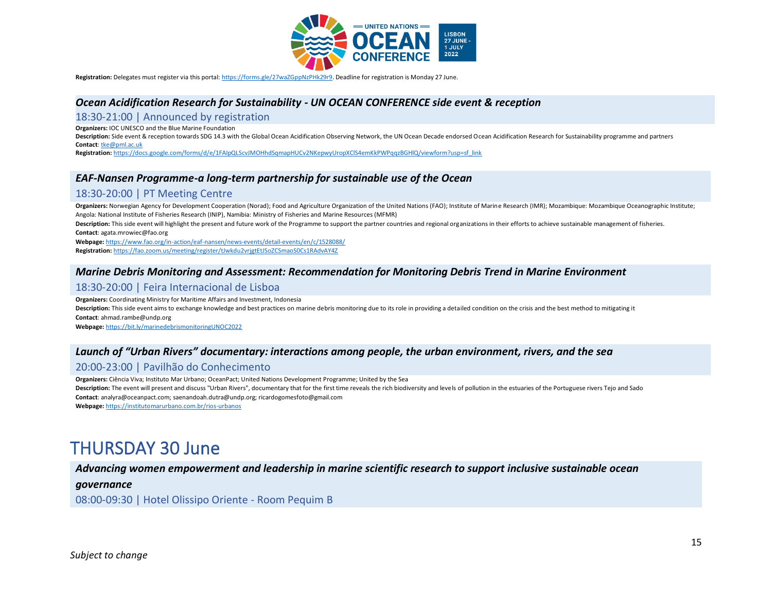

**Registration:** Delegates must register via this portal[: https://forms.gle/27waZGppNzPHk29r9.](https://forms.gle/27waZGppNzPHk29r9) Deadline for registration is Monday 27 June.

#### *Ocean Acidification Research for Sustainability - UN OCEAN CONFERENCE side event & reception*

#### 18:30-21:00 | Announced by registration

**Organizers:** IOC UNESCO and the Blue Marine Foundation

**Description:** Side event & reception towards SDG 14.3 with the Global Ocean Acidification Observing Network, the UN Ocean Decade endorsed Ocean Acidification Research for Sustainability programme and partners **Contact**[: tke@pml.ac.uk](mailto:tke@pml.ac.uk)

**Registration:** [https://docs.google.com/forms/d/e/1FAIpQLScvJMOHhdSqmapHUCv2NKepwyUropXClS4emKkPWPqqzBGHlQ/viewform?usp=sf\\_link](https://docs.google.com/forms/d/e/1FAIpQLScvJMOHhdSqmapHUCv2NKepwyUropXClS4emKkPWPqqzBGHlQ/viewform?usp=sf_link) 

#### *EAF-Nansen Programme-a long-term partnership for sustainable use of the Ocean*

#### 18:30-20:00 | PT Meeting Centre

**Organizers:** Norwegian Agency for Development Cooperation (Norad); Food and Agriculture Organization of the United Nations (FAO); Institute of Marine Research (IMR); Mozambique: Mozambique Oceanographic Institute; Angola: National Institute of Fisheries Research (INIP), Namibia: Ministry of Fisheries and Marine Resources (MFMR)

Description: This side event will highlight the present and future work of the Programme to support the partner countries and regional organizations in their efforts to achieve sustainable management of fisheries. **Contact**: agata.mrowiec@fao.org

**Webpage:** <https://www.fao.org/in-action/eaf-nansen/news-events/detail-events/en/c/1528088/>

**Registration:** <https://fao.zoom.us/meeting/register/tJwkdu2vrjgtEtJSoZCSmaoS0Cs1RAdvAY4Z>

#### *Marine Debris Monitoring and Assessment: Recommendation for Monitoring Debris Trend in Marine Environment*

#### 18:30-20:00 | Feira Internacional de Lisboa

**Organizers:** Coordinating Ministry for Maritime Affairs and Investment, Indonesia

Description: This side event aims to exchange knowledge and best practices on marine debris monitoring due to its role in providing a detailed condition on the crisis and the best method to mitigating it **Contact**: ahmad.rambe@undp.org

**Webpage:** <https://bit.ly/marinedebrismonitoringUNOC2022>

### *Launch of "Urban Rivers" documentary: interactions among people, the urban environment, rivers, and the sea*

#### 20:00-23:00 | Pavilhão do Conhecimento

**Organizers:** Ciência Viva; Instituto Mar Urbano; OceanPact; United Nations Development Programme; United by the Sea **Description:** The event will present and discuss "Urban Rivers", documentary that for the first time reveals the rich biodiversity and levels of pollution in the estuaries of the Portuguese rivers Tejo and Sado **Contact**: analyra@oceanpact.com; saenandoah.dutra@undp.org; ricardogomesfoto@gmail.com **Webpage:** <https://institutomarurbano.com.br/rios-urbanos>

# THURSDAY 30 June

#### *Advancing women empowerment and leadership in marine scientific research to support inclusive sustainable ocean*

#### *governance*

08:00-09:30 | Hotel Olissipo Oriente - Room Pequim B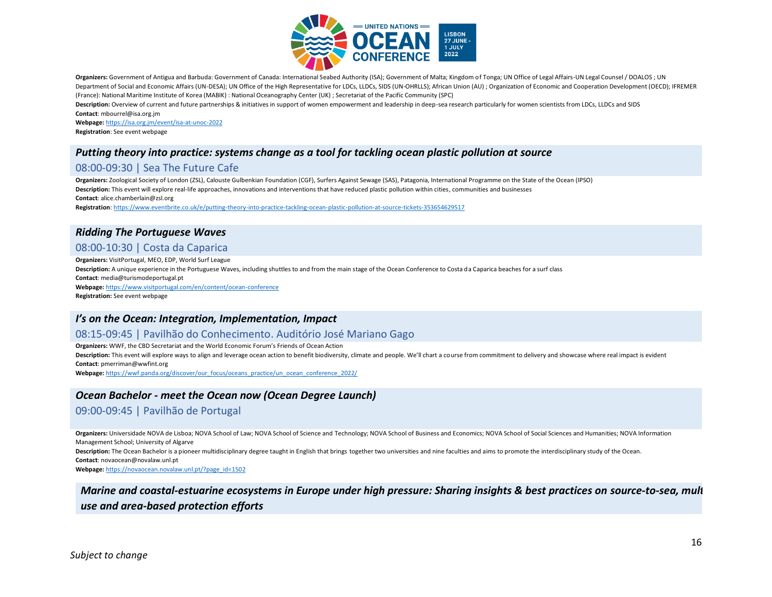

**Organizers:** Government of Antigua and Barbuda: Government of Canada: International Seabed Authority (ISA); Government of Malta; Kingdom of Tonga; UN Office of Legal Affairs-UN Legal Counsel / DOALOS ; UN Department of Social and Economic Affairs (UN-DESA); UN Office of the High Representative for LDCs, LLDCs, SIDS (UN-OHRLLS); African Union (AU) ; Organization of Economic and Cooperation Development (OECD); IFREMER (France): National Maritime Institute of Korea (MABIK) : National Oceanography Center (UK) ; Secretariat of the Pacific Community (SPC)

**Description:** Overview of current and future partnerships & initiatives in support of women empowerment and leadership in deep-sea research particularly for women scientists from LDCs, LLDCs and SIDS **Contact**: mbourrel@isa.org.jm

**Webpage:** <https://isa.org.jm/event/isa-at-unoc-2022> **Registration**: See event webpage

# *Putting theory into practice: systems change as a tool for tackling ocean plastic pollution at source*

# 08:00-09:30 | Sea The Future Cafe

**Organizers:** Zoological Society of London (ZSL), Calouste Gulbenkian Foundation (CGF), Surfers Against Sewage (SAS), Patagonia, International Programme on the State of the Ocean (IPSO) **Description:** This event will explore real-life approaches, innovations and interventions that have reduced plastic pollution within cities, communities and businesses **Contact**: alice.chamberlain@zsl.org

**Registration**[: https://www.eventbrite.co.uk/e/putting-theory-into-practice-tackling-ocean-plastic-pollution-at-source-tickets-353654629517](https://www.eventbrite.co.uk/e/putting-theory-into-practice-tackling-ocean-plastic-pollution-at-source-tickets-353654629517)

#### *Ridding The Portuguese Waves*

# 08:00-10:30 | Costa da Caparica

**Organizers:** VisitPortugal, MEO, EDP, World Surf League **Description:** A unique experience in the Portuguese Waves, including shuttles to and from the main stage of the Ocean Conference to Costa da Caparica beaches for a surf class **Contact**: media@turismodeportugal.pt **Webpage:** <https://www.visitportugal.com/en/content/ocean-conference> **Registration:** See event webpage

#### *I's on the Ocean: Integration, Implementation, Impact*

#### 08:15-09:45 | Pavilhão do Conhecimento. Auditório José Mariano Gago

**Organizers:** WWF, the CBD Secretariat and the World Economic Forum's Friends of Ocean Action Description: This event will explore ways to align and leverage ocean action to benefit biodiversity, climate and people. We'll chart a course from commitment to delivery and showcase where real impact is evident **Contact**: pmerriman@wwfint.org

**Webpage:** [https://wwf.panda.org/discover/our\\_focus/oceans\\_practice/un\\_ocean\\_conference\\_2022/](https://wwf.panda.org/discover/our_focus/oceans_practice/un_ocean_conference_2022/)

#### *Ocean Bachelor - meet the Ocean now (Ocean Degree Launch)*

#### 09:00-09:45 | Pavilhão de Portugal

Organizers: Universidade NOVA de Lisboa; NOVA School of Law; NOVA School of Science and Technology; NOVA School of Business and Economics; NOVA School of Social Sciences and Humanities; NOVA Information Management School; University of Algarve

**Description:** The Ocean Bachelor is a pioneer multidisciplinary degree taught in English that brings together two universities and nine faculties and aims to promote the interdisciplinary study of the Ocean. **Contact**: novaocean@novalaw.unl.pt

**Webpage:** [https://novaocean.novalaw.unl.pt/?page\\_id=1502](https://novaocean.novalaw.unl.pt/?page_id=1502)

*Marine and coastal-estuarine ecosystems in Europe under high pressure: Sharing insights & best practices on source-to-sea, multiuse and area-based protection efforts*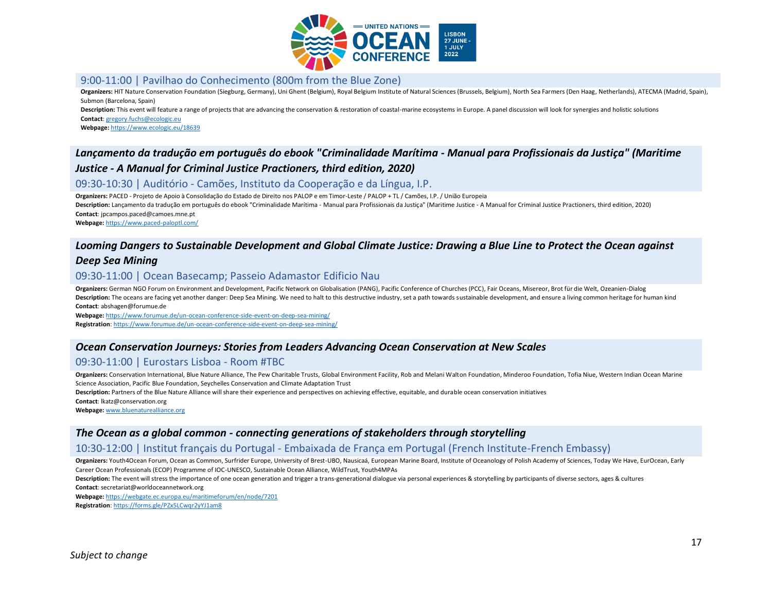

### 9:00-11:00 | Pavilhao do Conhecimento (800m from the Blue Zone)

Organizers: HIT Nature Conservation Foundation (Siegburg, Germany), Uni Ghent (Belgium), Royal Belgium Institute of Natural Sciences (Brussels, Belgium), North Sea Farmers (Den Haag, Netherlands), ATECMA (Madrid, Spain), Submon (Barcelona, Spain)

**Description:** This event will feature a range of projects that are advancing the conservation & restoration of coastal-marine ecosystems in Europe. A panel discussion will look for synergies and holistic solutions **Contact**[: gregory.fuchs@ecologic.eu](mailto:gregory.fuchs@ecologic.eu)

**Webpage:** <https://www.ecologic.eu/18639>

# *Lançamento da tradução em português do ebook "Criminalidade Marítima - Manual para Profissionais da Justiça" (Maritime Justice - A Manual for Criminal Justice Practioners, third edition, 2020)*

### 09:30-10:30 | Auditório - Camões, Instituto da Cooperação e da Língua, I.P.

**Organizers:** PACED - Projeto de Apoio à Consolidação do Estado de Direito nos PALOP e em Timor-Leste / PALOP + TL / Camões, I.P. / União Europeia

**Description:** Lançamento da tradução em português do ebook "Criminalidade Marítima - Manual para Profissionais da Justiça" (Maritime Justice - A Manual for Criminal Justice Practioners, third edition, 2020) **Contact**: jpcampos.paced@camoes.mne.pt

**Webpage:** <https://www.paced-paloptl.com/>

### *Looming Dangers to Sustainable Development and Global Climate Justice: Drawing a Blue Line to Protect the Ocean against*

#### *Deep Sea Mining*

#### 09:30-11:00 | Ocean Basecamp; Passeio Adamastor Edificio Nau

**Organizers:** German NGO Forum on Environment and Development, Pacific Network on Globalisation (PANG), Pacific Conference of Churches (PCC), Fair Oceans, Misereor, Brot für die Welt, Ozeanien-Dialog Description: The oceans are facing yet another danger: Deep Sea Mining. We need to halt to this destructive industry, set a path towards sustainable development, and ensure a living common heritage for human kind **Contact**: abshagen@forumue.de

**Webpage:** <https://www.forumue.de/un-ocean-conference-side-event-on-deep-sea-mining/> **Registration**[: https://www.forumue.de/un-ocean-conference-side-event-on-deep-sea-mining/](https://www.forumue.de/un-ocean-conference-side-event-on-deep-sea-mining/)

# *Ocean Conservation Journeys: Stories from Leaders Advancing Ocean Conservation at New Scales*

#### 09:30-11:00 | Eurostars Lisboa - Room #TBC

**Organizers:** Conservation International, Blue Nature Alliance, The Pew Charitable Trusts, Global Environment Facility, Rob and Melani Walton Foundation, Minderoo Foundation, Tofia Niue, Western Indian Ocean Marine Science Association, Pacific Blue Foundation, Seychelles Conservation and Climate Adaptation Trust

**Description:** Partners of the Blue Nature Alliance will share their experience and perspectives on achieving effective, equitable, and durable ocean conservation initiatives

**Contact**: lkatz@conservation.org

**Webpage:** [www.bluenaturealliance.org](http://www.bluenaturealliance.org/)

#### *The Ocean as a global common - connecting generations of stakeholders through storytelling*

#### 10:30-12:00 | Institut français du Portugal - Embaixada de França em Portugal (French Institute-French Embassy)

**Organizers:** Youth4Ocean Forum, Ocean as Common, Surfrider Europe, University of Brest-UBO, Nausicaá, European Marine Board, Institute of Oceanology of Polish Academy of Sciences, Today We Have, EurOcean, Early Career Ocean Professionals (ECOP) Programme of IOC-UNESCO, Sustainable Ocean Alliance, WildTrust, Youth4MPAs

**Description:** The event will stress the importance of one ocean generation and trigger a trans-generational dialogue via personal experiences & storytelling by participants of diverse sectors, ages & cultures **Contact**: secretariat@worldoceannetwork.org

**Webpage:** <https://webgate.ec.europa.eu/maritimeforum/en/node/7201>

**Registration**[: https://forms.gle/PZx5LCwqr2yYJ1am8](https://forms.gle/PZx5LCwqr2yYJ1am8)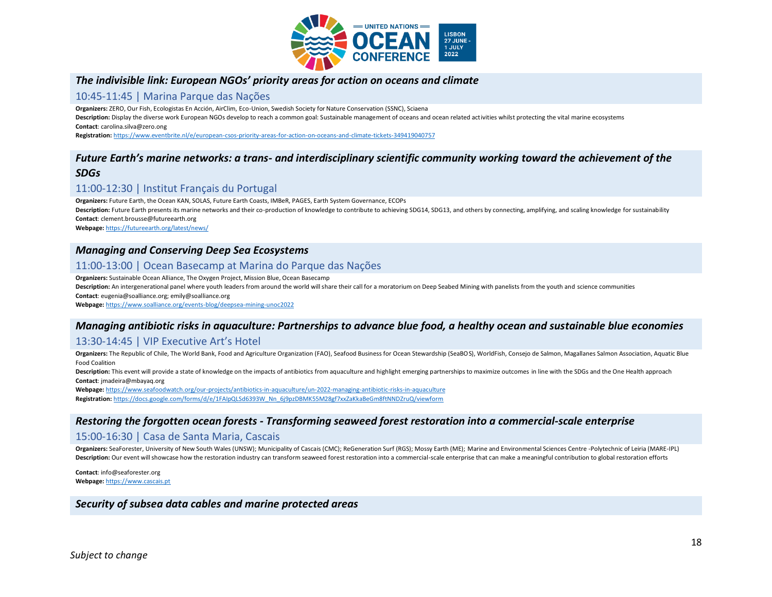

# *The indivisible link: European NGOs' priority areas for action on oceans and climate*

#### 10:45-11:45 | Marina Parque das Nações

**Organizers:** ZERO, Our Fish, Ecologistas En Acción, AirClim, Eco-Union, Swedish Society for Nature Conservation (SSNC), Sciaena

Description: Display the diverse work European NGOs develop to reach a common goal: Sustainable management of oceans and ocean related activities whilst protecting the vital marine ecosystems **Contact**: carolina.silva@zero.ong

**Registration:** <https://www.eventbrite.nl/e/european-csos-priority-areas-for-action-on-oceans-and-climate-tickets-349419040757>

# *Future Earth's marine networks: a trans- and interdisciplinary scientific community working toward the achievement of the SDGs*

# 11:00-12:30 | Institut Français du Portugal

**Organizers:** Future Earth, the Ocean KAN, SOLAS, Future Earth Coasts, IMBeR, PAGES, Earth System Governance, ECOPs **Description:** Future Earth presents its marine networks and their co-production of knowledge to contribute to achieving SDG14, SDG13, and others by connecting, amplifying, and scaling knowledge for sustainability **Contact**: clement.brousse@futureearth.org

**Webpage:** <https://futureearth.org/latest/news/>

#### *Managing and Conserving Deep Sea Ecosystems*

#### 11:00-13:00 | Ocean Basecamp at Marina do Parque das Nações

**Organizers:** Sustainable Ocean Alliance, The Oxygen Project, Mission Blue, Ocean Basecamp **Description:** An intergenerational panel where youth leaders from around the world will share their call for a moratorium on Deep Seabed Mining with panelists from the youth and science communities **Contact**: eugenia@soalliance.org; emily@soalliance.org **Webpage:** <https://www.soalliance.org/events-blog/deepsea-mining-unoc2022>

### *Managing antibiotic risks in aquaculture: Partnerships to advance blue food, a healthy ocean and sustainable blue economies*

#### 13:30-14:45 | VIP Executive Art's Hotel

**Organizers:** The Republic of Chile, The World Bank, Food and Agriculture Organization (FAO), Seafood Business for Ocean Stewardship (SeaBOS), WorldFish, Consejo de Salmon, Magallanes Salmon Association, Aquatic Blue Food Coalition

Description: This event will provide a state of knowledge on the impacts of antibiotics from aquaculture and highlight emerging partnerships to maximize outcomes in line with the SDGs and the One Health approach **Contact**: jmadeira@mbayaq.org

**Webpage:** <https://www.seafoodwatch.org/our-projects/antibiotics-in-aquaculture/un-2022-managing-antibiotic-risks-in-aquaculture> **Registration:** [https://docs.google.com/forms/d/e/1FAIpQLSd6393W\\_Nn\\_6j9pzDBMK55M28gf7xxZaKkaBeGm8ftNNDZruQ/viewform](https://docs.google.com/forms/d/e/1FAIpQLSd6393W_Nn_6j9pzDBMK55M28gf7xxZaKkaBeGm8ftNNDZruQ/viewform)

#### *Restoring the forgotten ocean forests - Transforming seaweed forest restoration into a commercial-scale enterprise*

#### 15:00-16:30 | Casa de Santa Maria, Cascais

**Organizers:** SeaForester, University of New South Wales (UNSW); Municipality of Cascais (CMC); ReGeneration Surf (RGS); Mossy Earth (ME); Marine and Environmental Sciences Centre -Polytechnic of Leiria (MARE-IPL) Description: Our event will showcase how the restoration industry can transform seaweed forest restoration into a commercial-scale enterprise that can make a meaningful contribution to global restoration efforts

**Contact**: info@seaforester.org **Webpage:** [https://www.cascais.pt](https://www.cascais.pt/)

#### *Security of subsea data cables and marine protected areas*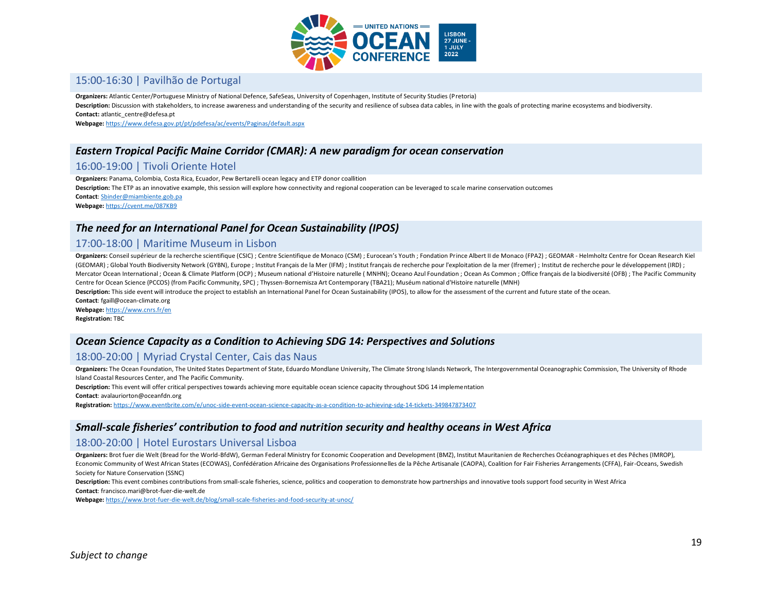

### 15:00-16:30 | Pavilhão de Portugal

**Organizers:** Atlantic Center/Portuguese Ministry of National Defence, SafeSeas, University of Copenhagen, Institute of Security Studies (Pretoria)

Description: Discussion with stakeholders, to increase awareness and understanding of the security and resilience of subsea data cables, in line with the goals of protecting marine ecosystems and biodiversity.

**Contact:** atlantic\_centre@defesa.pt

**Webpage:** <https://www.defesa.gov.pt/pt/pdefesa/ac/events/Paginas/default.aspx>

# *Eastern Tropical Pacific Maine Corridor (CMAR): A new paradigm for ocean conservation*

### 16:00-19:00 | Tivoli Oriente Hotel

**Organizers:** Panama, Colombia, Costa Rica, Ecuador, Pew Bertarelli ocean legacy and ETP donor coallition **Description:** The ETP as an innovative example, this session will explore how connectivity and regional cooperation can be leveraged to scale marine conservation outcomes **Contact**[: Sbinder@miambiente.gob.pa](mailto:Sbinder@miambiente.gob.pa) **Webpage:** <https://cvent.me/087KB9>

#### *The need for an International Panel for Ocean Sustainability (IPOS)*

#### 17:00-18:00 | Maritime Museum in Lisbon

Organizers: Conseil supérieur de la recherche scientifique (CSIC); Centre Scientifique de Monaco (CSM); Eurocean's Youth; Fondation Prince Albert II de Monaco (FPA2); GEOMAR - Helmholtz Centre for Ocean Research Kiel (GEOMAR) ; Global Youth Biodiversity Network (GYBN), Europe ; Institut Français de la Mer (IFM) ; Institut français de recherche pour l'exploitation de la mer (Ifremer) ; Institut de recherche pour le développement (IRD) ; Mercator Ocean International ; Ocean & Climate Platform (OCP) ; Museum national d'Histoire naturelle (MNHN); Oceano Azul Foundation ; Ocean As Common ; Office français de la biodiversité (OFB) ; The Pacific Community Centre for Ocean Science (PCCOS) (from Pacific Community, SPC) ; Thyssen-Bornemisza Art Contemporary (TBA21); Muséum national d'Histoire naturelle (MNH)

Description: This side event will introduce the project to establish an International Panel for Ocean Sustainability (IPOS), to allow for the assessment of the current and future state of the ocean.

**Contact**: fgaill@ocean-climate.org **Webpage:** <https://www.cnrs.fr/en> **Registration:** TBC

#### *Ocean Science Capacity as a Condition to Achieving SDG 14: Perspectives and Solutions*

#### 18:00-20:00 | Myriad Crystal Center, Cais das Naus

**Organizers:** The Ocean Foundation, The United States Department of State, Eduardo Mondlane University, The Climate Strong Islands Network, The Intergovernmental Oceanographic Commission, The University of Rhode Island Coastal Resources Center, and The Pacific Community.

**Description:** This event will offer critical perspectives towards achieving more equitable ocean science capacity throughout SDG 14 implementation **Contact**: avalauriorton@oceanfdn.org

**Registration:** <https://www.eventbrite.com/e/unoc-side-event-ocean-science-capacity-as-a-condition-to-achieving-sdg-14-tickets-349847873407>

#### *Small-scale fisheries' contribution to food and nutrition security and healthy oceans in West Africa*

#### 18:00-20:00 | Hotel Eurostars Universal Lisboa

**Organizers:** Brot fuer die Welt (Bread for the World-BfdW), German Federal Ministry for Economic Cooperation and Development (BMZ), Institut Mauritanien de Recherches Océanographiques et des Pêches (IMROP), Economic Community of West African States (ECOWAS), Confédération Africaine des Organisations Professionnelles de la Pêche Artisanale (CAOPA), Coalition for Fair Fisheries Arrangements (CFFA), Fair-Oceans, Swedish Society for Nature Conservation (SSNC)

Description: This event combines contributions from small-scale fisheries, science, politics and cooperation to demonstrate how partnerships and innovative tools support food security in West Africa **Contact**: francisco.mari@brot-fuer-die-welt.de

**Webpage:** <https://www.brot-fuer-die-welt.de/blog/small-scale-fisheries-and-food-security-at-unoc/>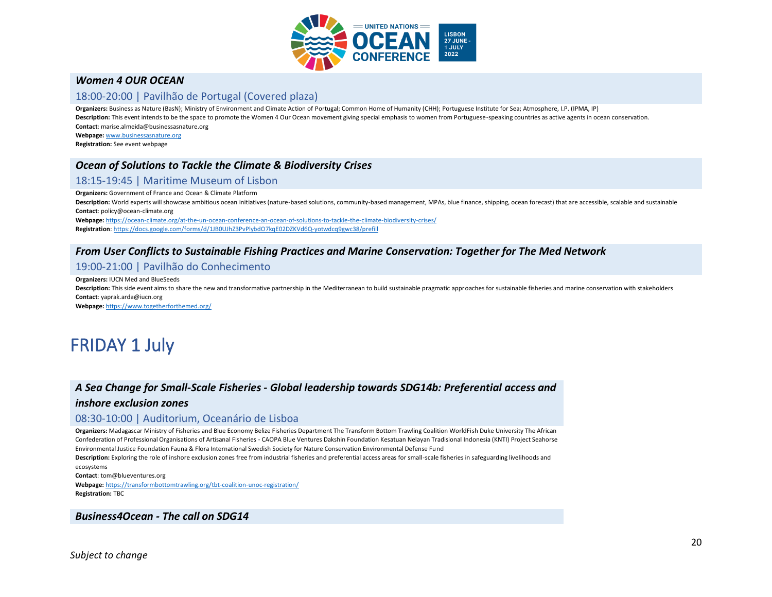

### *Women 4 OUR OCEAN*

#### 18:00-20:00 | Pavilhão de Portugal (Covered plaza)

**Organizers:** Business as Nature (BasN); Ministry of Environment and Climate Action of Portugal; Common Home of Humanity (CHH); Portuguese Institute for Sea; Atmosphere, I.P. (IPMA, IP) Description: This event intends to be the space to promote the Women 4 Our Ocean movement giving special emphasis to women from Portuguese-speaking countries as active agents in ocean conservation. **Contact**: marise.almeida@businessasnature.org

**Webpage:** [www.businessasnature.org](http://www.businessasnature.org/) **Registration:** See event webpage

# *Ocean of Solutions to Tackle the Climate & Biodiversity Crises*

# 18:15-19:45 | Maritime Museum of Lisbon

**Organizers:** Government of France and Ocean & Climate Platform

Description: World experts will showcase ambitious ocean initiatives (nature-based solutions, community-based management, MPAs, blue finance, shipping, ocean forecast) that are accessible, scalable and sustainable **Contact**: policy@ocean-climate.org

**Webpage:** <https://ocean-climate.org/at-the-un-ocean-conference-an-ocean-of-solutions-to-tackle-the-climate-biodiversity-crises/>

**Registration**[: https://docs.google.com/forms/d/1JB0UJhZ3PvPlybdO7kqE02DZKVd6Q-yotwdcq9gwc38/prefill](https://docs.google.com/forms/d/1JB0UJhZ3PvPlybdO7kqE02DZKVd6Q-yotwdcq9gwc38/prefill)

### *From User Conflicts to Sustainable Fishing Practices and Marine Conservation: Together for The Med Network*

# 19:00-21:00 | Pavilhão do Conhecimento

#### **Organizers:** IUCN Med and BlueSeeds

Description: This side event aims to share the new and transformative partnership in the Mediterranean to build sustainable pragmatic approaches for sustainable fisheries and marine conservation with stakeholders **Contact**: yaprak.arda@iucn.org

**Webpage:** <https://www.togetherforthemed.org/>

# FRIDAY 1 July

# *A Sea Change for Small-Scale Fisheries - Global leadership towards SDG14b: Preferential access and*

#### *inshore exclusion zones*

#### 08:30-10:00 | Auditorium, Oceanário de Lisboa

**Organizers:** Madagascar Ministry of Fisheries and Blue Economy Belize Fisheries Department The Transform Bottom Trawling Coalition WorldFish Duke University The African Confederation of Professional Organisations of Artisanal Fisheries - CAOPA Blue Ventures Dakshin Foundation Kesatuan Nelayan Tradisional Indonesia (KNTI) Project Seahorse Environmental Justice Foundation Fauna & Flora International Swedish Society for Nature Conservation Environmental Defense Fund

**Description:** Exploring the role of inshore exclusion zones free from industrial fisheries and preferential access areas for small-scale fisheries in safeguarding livelihoods and ecosystems

**Contact**: tom@blueventures.org

**Webpage:** <https://transformbottomtrawling.org/tbt-coalition-unoc-registration/> **Registration:** TBC

#### *Business4Ocean - The call on SDG14*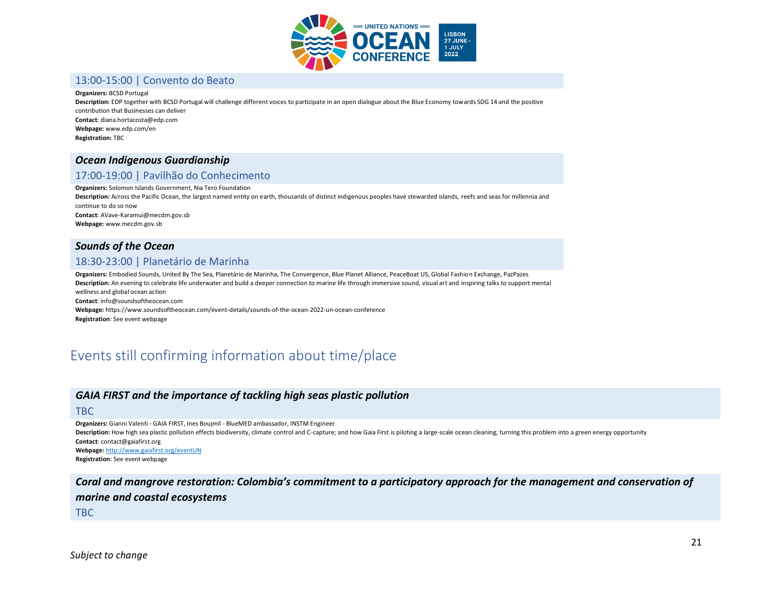

#### 13:00-15:00 | Convento do Beato

#### **Organizers:** BCSD Portugal

**Description:** EDP together with BCSD Portugal will challenge different voices to participate in an open dialogue about the Blue Economy towards SDG 14 and the positive contribution that Businesses can deliver **Contact**: diana.hortacosta@edp.com **Webpage:** www.edp.com/en **Registration:** TBC

#### *Ocean Indigenous Guardianship*

# 17:00-19:00 | Pavilhão do Conhecimento

**Organizers:** Solomon Islands Government, Nia Tero Foundation

**Description:** Across the Pacific Ocean, the largest named entity on earth, thousands of distinct indigenous peoples have stewarded islands, reefs and seas for millennia and continue to do so now **Contact**: AVave-Karamui@mecdm.gov.sb

**Webpage:** www.mecdm.gov.sb

#### *Sounds of the Ocean*

# 18:30-23:00 | Planetário de Marinha

**Organizers:** Embodied Sounds, United By The Sea, Planetário de Marinha, The Convergence, Blue Planet Alliance, PeaceBoat US, Global Fashion Exchange, PazPazes **Description:** An evening to celebrate life underwater and build a deeper connection to marine life through immersive sound, visual art and inspiring talks to support mental wellness and global ocean action **Contact**: info@soundsoftheocean.com **Webpage:** https://www.soundsoftheocean.com/event-details/sounds-of-the-ocean-2022-un-ocean-conference

**Registration**: See event webpage

# Events still confirming information about time/place

#### *GAIA FIRST and the importance of tackling high seas plastic pollution*

#### TBC

**Organizers:** Gianni Valenti - GAIA FIRST, Ines Boujmil - BlueMED ambassador, INSTM Engineer

Description: How high sea plastic pollution effects biodiversity, climate control and C-capture; and how Gaia First is piloting a large-scale ocean cleaning, turning this problem into a green energy opportunity **Contact**: contact@gaiafirst.org

**Webpage:** <http://www.gaiafirst.org/eventUN> **Registration**: See event webpage

*Coral and mangrove restoration: Colombia's commitment to a participatory approach for the management and conservation of marine and coastal ecosystems*

TBC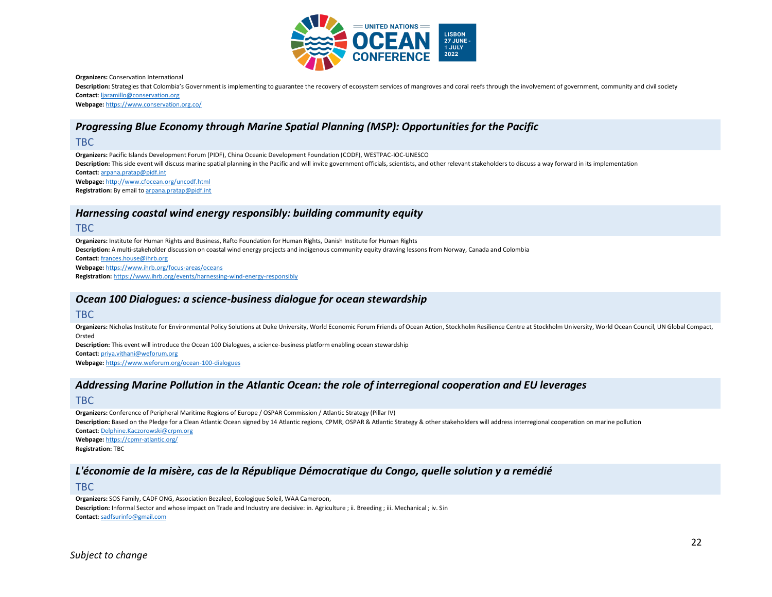

**Organizers:** Conservation International

Description: Strategies that Colombia's Government is implementing to guarantee the recovery of ecosystem services of mangroves and coral reefs through the involvement of government, community and civil society **Contact**[: ljaramillo@conservation.org](mailto:ljaramillo@conservation.org)

**Webpage:** <https://www.conservation.org.co/>

# *Progressing Blue Economy through Marine Spatial Planning (MSP): Opportunities for the Pacific*

#### TBC

**Organizers:** Pacific Islands Development Forum (PIDF), China Oceanic Development Foundation (CODF), WESTPAC-IOC-UNESCO Description: This side event will discuss marine spatial planning in the Pacific and will invite government officials, scientists, and other relevant stakeholders to discuss a way forward in its implementation **Contact**[: arpana.pratap@pidf.int](mailto:arpana.pratap@pidf.int) **Webpage:** <http://www.cfocean.org/uncodf.html> **Registration:** By email t[o arpana.pratap@pidf.int](mailto:arpana.pratap@pidf.int)

#### *Harnessing coastal wind energy responsibly: building community equity*

#### TBC

**Organizers:** Institute for Human Rights and Business, Rafto Foundation for Human Rights, Danish Institute for Human Rights **Description:** A multi-stakeholder discussion on coastal wind energy projects and indigenous community equity drawing lessons from Norway, Canada and Colombia **Contact**[: frances.house@ihrb.org](mailto:frances.house@ihrb.org) **Webpage:** <https://www.ihrb.org/focus-areas/oceans> **Registration:** <https://www.ihrb.org/events/harnessing-wind-energy-responsibly>

#### *Ocean 100 Dialogues: a science-business dialogue for ocean stewardship*

#### TBC

Organizers: Nicholas Institute for Environmental Policy Solutions at Duke University, World Economic Forum Friends of Ocean Action, Stockholm Resilience Centre at Stockholm University, World Ocean Council, UN Global Compac Orsted

**Description:** This event will introduce the Ocean 100 Dialogues, a science-business platform enabling ocean stewardship **Contact**[: priya.vithani@weforum.org](mailto:priya.vithani@weforum.org)

**Webpage:** <https://www.weforum.org/ocean-100-dialogues>

#### *Addressing Marine Pollution in the Atlantic Ocean: the role of interregional cooperation and EU leverages*

#### TBC

**Organizers:** Conference of Peripheral Maritime Regions of Europe / OSPAR Commission / Atlantic Strategy (Pillar IV) Description: Based on the Pledge for a Clean Atlantic Ocean signed by 14 Atlantic regions, CPMR, OSPAR & Atlantic Strategy & other stakeholders will address interregional cooperation on marine pollution **Contact**[: Delphine.Kaczorowski@crpm.org](mailto:Delphine.Kaczorowski@crpm.org) **Webpage:** <https://cpmr-atlantic.org/> **Registration:** TBC

# *L'économie de la misère, cas de la République Démocratique du Congo, quelle solution y a remédié*

#### TBC

**Organizers:** SOS Family, CADF ONG, Association Bezaleel, Ecologique Soleil, WAA Cameroon, Description: Informal Sector and whose impact on Trade and Industry are decisive: in. Agriculture ; ii. Breeding ; iii. Mechanical ; iv. Sin **Contact**[: sadfsurinfo@gmail.com](mailto:sadfsurinfo@gmail.com)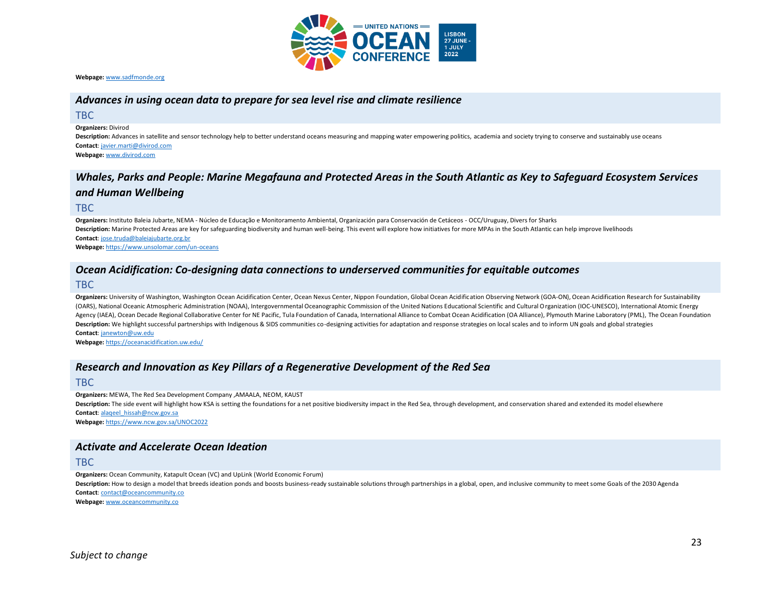

**Webpage:** [www.sadfmonde.org](http://www.sadfmonde.org/)

### *Advances in using ocean data to prepare for sea level rise and climate resilience*

TBC

**Organizers:** Divirod

**Description:** Advances in satellite and sensor technology help to better understand oceans measuring and mapping water empowering politics, academia and society trying to conserve and sustainably use oceans **Contact**[: javier.marti@divirod.com](mailto:javier.marti@divirod.com)

**Webpage:** [www.divirod.com](http://www.divirod.com/)

# *Whales, Parks and People: Marine Megafauna and Protected Areas in the South Atlantic as Key to Safeguard Ecosystem Services and Human Wellbeing*

TBC

**Organizers:** Instituto Baleia Jubarte, NEMA - Núcleo de Educação e Monitoramento Ambiental, Organización para Conservación de Cetáceos - OCC/Uruguay, Divers for Sharks **Description:** Marine Protected Areas are key for safeguarding biodiversity and human well-being. This event will explore how initiatives for more MPAs in the South Atlantic can help improve livelihoods **Contact**[: jose.truda@baleiajubarte.org.br](mailto:jose.truda@baleiajubarte.org.br) **Webpage:** <https://www.unsolomar.com/un-oceans>

# *Ocean Acidification: Co-designing data connections to underserved communities for equitable outcomes*

TBC

Organizers: University of Washington, Washington Ocean Acidification Center, Ocean Nexus Center, Nippon Foundation, Global Ocean Acidification Observing Network (GOA-ON), Ocean Acidification Research for Sustainability (OARS), National Oceanic Atmospheric Administration (NOAA), Intergovernmental Oceanographic Commission of the United Nations Educational Scientific and Cultural Organization (IOC-UNESCO), International Atomic Energy Agency (IAEA), Ocean Decade Regional Collaborative Center for NE Pacific, Tula Foundation of Canada, International Alliance to Combat Ocean Acidification (OA Alliance), Plymouth Marine Laboratory (PML), The Ocean Foundatio Description: We highlight successful partnerships with Indigenous & SIDS communities co-designing activities for adaptation and response strategies on local scales and to inform UN goals and global strategies **Contact**[: janewton@uw.edu](mailto:janewton@uw.edu)

**Webpage:** <https://oceanacidification.uw.edu/>

#### *Research and Innovation as Key Pillars of a Regenerative Development of the Red Sea*

TBC

**Organizers:** MEWA, The Red Sea Development Company ,AMAALA, NEOM, KAUST Description: The side event will highlight how KSA is setting the foundations for a net positive biodiversity impact in the Red Sea, through development, and conservation shared and extended its model elsewhere **Contact**[: alaqeel\\_hissah@ncw.gov.sa](mailto:alaqeel_hissah@ncw.gov.sa) **Webpage:** <https://www.ncw.gov.sa/UNOC2022>

#### *Activate and Accelerate Ocean Ideation*

TBC

**Organizers:** Ocean Community, Katapult Ocean (VC) and UpLink (World Economic Forum)

Description: How to design a model that breeds ideation ponds and boosts business-ready sustainable solutions through partnerships in a global, open, and inclusive community to meet some Goals of the 2030 Agenda **Contact**[: contact@oceancommunity.co](mailto:contact@oceancommunity.co)

**Webpage:** [www.oceancommunity.co](http://www.oceancommunity.co/)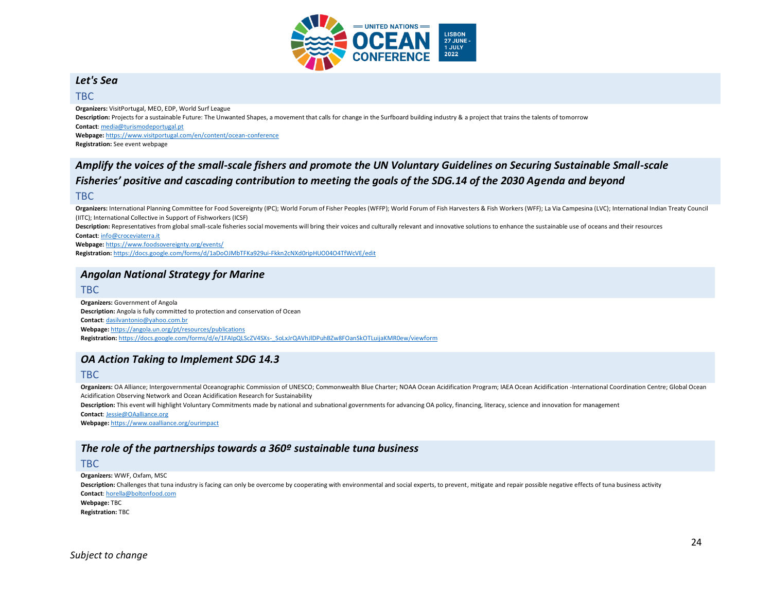

# *Let's Sea*

#### TBC

**Organizers:** VisitPortugal, MEO, EDP, World Surf League **Description:** Projects for a sustainable Future: The Unwanted Shapes, a movement that calls for change in the Surfboard building industry & a project that trains the talents of tomorrow **Contact**[: media@turismodeportugal.pt](mailto:media@turismodeportugal.pt) **Webpage:** <https://www.visitportugal.com/en/content/ocean-conference> **Registration:** See event webpage

# *Amplify the voices of the small-scale fishers and promote the UN Voluntary Guidelines on Securing Sustainable Small-scale Fisheries' positive and cascading contribution to meeting the goals of the SDG.14 of the 2030 Agenda and beyond*

#### TBC

Organizers: International Planning Committee for Food Sovereignty (IPC); World Forum of Fisher Peoples (WFFP); World Forum of Fish Harvesters & Fish Workers (WFF); La Via Campesina (LVC); International Indian Treaty Counci (IITC); International Collective in Support of Fishworkers (ICSF)

Description: Representatives from global small-scale fisheries social movements will bring their voices and culturally relevant and innovative solutions to enhance the sustainable use of oceans and their resources **Contact**[: info@croceviaterra.it](mailto:info@croceviaterra.it)

**Webpage:** <https://www.foodsovereignty.org/events/>

**Registration:** <https://docs.google.com/forms/d/1aDoOJMbTFKa929ui-Fkkn2cNXd0ripHUO04O4TfWcVE/edit>

### *Angolan National Strategy for Marine*

#### TBC

**Organizers:** Government of Angola **Description:** Angola is fully committed to protection and conservation of Ocean **Contact**[: dasilvantonio@yahoo.com.br](mailto:dasilvantonio@yahoo.com.br) **Webpage:** <https://angola.un.org/pt/resources/publications> **Registration:** [https://docs.google.com/forms/d/e/1FAIpQLScZV4SXs-\\_SoLxJrQAVhJlDPuhBZw8FOanSkOTLuijaKMR0ew/viewform](https://docs.google.com/forms/d/e/1FAIpQLScZV4SXs-_SoLxJrQAVhJlDPuhBZw8FOanSkOTLuijaKMR0ew/viewform)

# *OA Action Taking to Implement SDG 14.3*

#### TBC

**Organizers:** OA Alliance; Intergovernmental Oceanographic Commission of UNESCO; Commonwealth Blue Charter; NOAA Ocean Acidification Program; IAEA Ocean Acidification -International Coordination Centre; Global Ocean Acidification Observing Network and Ocean Acidification Research for Sustainability

Description: This event will highlight Voluntary Commitments made by national and subnational governments for advancing OA policy, financing, literacy, science and innovation for management

**Contact**[: Jessie@OAalliance.org](mailto:Jessie@OAalliance.org) **Webpage:** <https://www.oaalliance.org/ourimpact>

# *The role of the partnerships towards a 360º sustainable tuna business*

#### TBC

**Organizers:** WWF, Oxfam, MSC

**Description:** Challenges that tuna industry is facing can only be overcome by cooperating with environmental and social experts, to prevent, mitigate and repair possible negative effects of tuna business activity **Contact**[: horella@boltonfood.com](mailto:horella@boltonfood.com)

**Webpage:** TBC

**Registration:** TBC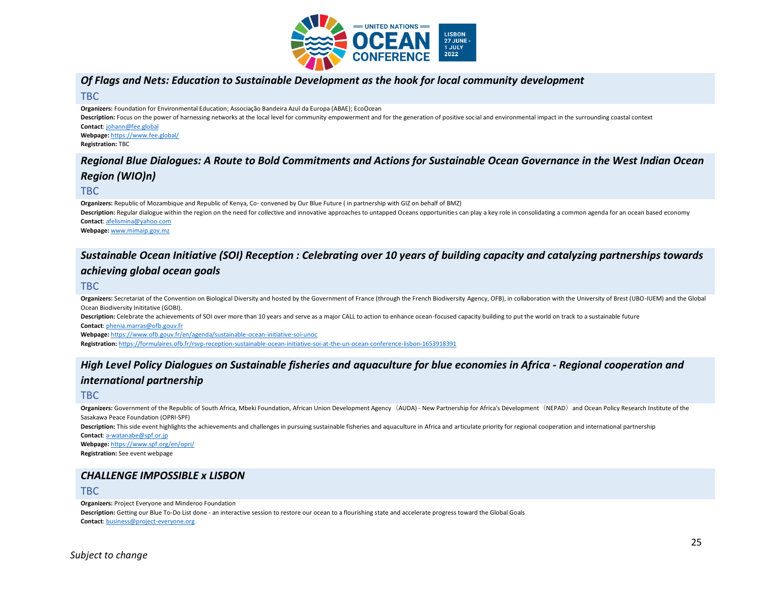

# *Of Flags and Nets: Education to Sustainable Development as the hook for local community development*

TBC

**Organizers:** Foundation for Environmental Education; Associação Bandeira Azul da Europa (ABAE); EcoOcean

Description: Focus on the power of harnessing networks at the local level for community empowerment and for the generation of positive social and environmental impact in the surrounding coastal context **Contact**[: johann@fee.global](mailto:johann@fee.global)

**Webpage:** <https://www.fee.global/> **Registration:** TBC

# *Regional Blue Dialogues: A Route to Bold Commitments and Actions for Sustainable Ocean Governance in the West Indian Ocean Region (WIO)n)*

#### TBC

**Organizers:** Republic of Mozambique and Republic of Kenya, Co- convened by Our Blue Future ( in partnership with GIZ on behalf of BMZ) Description: Regular dialogue within the region on the need for collective and innovative approaches to untapped Oceans opportunities can play a key role in consolidating a common agenda for an ocean based economy **Contact**[: afelismina@yahoo.com](mailto:afelismina@yahoo.com) **Webpage:** [www.mimaip.gov.mz](http://www.mimaip.gov.mz/)

# *Sustainable Ocean Initiative (SOI) Reception : Celebrating over 10 years of building capacity and catalyzing partnerships towards achieving global ocean goals*

#### TBC

Organizers: Secretariat of the Convention on Biological Diversity and hosted by the Government of France (through the French Biodiversity Agency, OFB), in collaboration with the University of Brest (UBO-IUEM) and the Globa Ocean Biodiversity Inititative (GOBI).

Description: Celebrate the achievements of SOI over more than 10 years and serve as a major CALL to action to enhance ocean-focused capacity building to put the world on track to a sustainable future **Contact**[: phenia.marras@ofb.gouv.fr](mailto:phenia.marras@ofb.gouv.fr)

**Webpage:** <https://www.ofb.gouv.fr/en/agenda/sustainable-ocean-initiative-soi-unoc> **Registration:** <https://formulaires.ofb.fr/rsvp-reception-sustainable-ocean-initiative-soi-at-the-un-ocean-conference-lisbon-1653918391>

# *High Level Policy Dialogues on Sustainable fisheries and aquaculture for blue economies in Africa - Regional cooperation and international partnership*

#### TBC

Organizers: Government of the Republic of South Africa, Mbeki Foundation, African Union Development Agency (AUDA) - New Partnership for Africa's Development (NEPAD) and Ocean Policy Research Institute of the Sasakawa Peace Foundation (OPRI-SPF)

**Description:** This side event highlights the achievements and challenges in pursuing sustainable fisheries and aquaculture in Africa and articulate priority for regional cooperation and international partnership **Contact**[: a-watanabe@spf.or.jp](mailto:a-watanabe@spf.or.jp)

**Webpage:** <https://www.spf.org/en/opri/> **Registration:** See event webpage

# *CHALLENGE IMPOSSIBLE x LISBON*

#### TBC

**Organizers:** Project Everyone and Minderoo Foundation

**Description:** Getting our Blue To-Do List done - an interactive session to restore our ocean to a flourishing state and accelerate progress toward the Global Goals **Contact**[: business@project-everyone.org](mailto:business@project-everyone.org)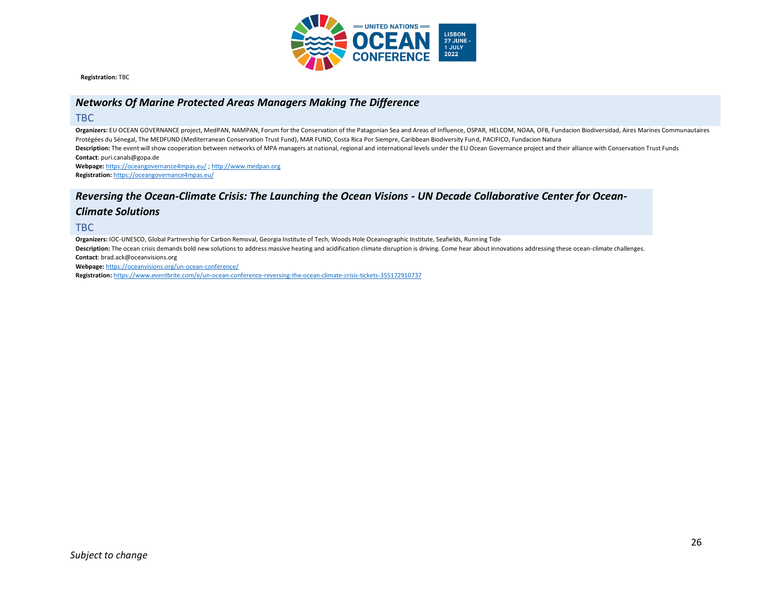

**Registration:** TBC

# *Networks Of Marine Protected Areas Managers Making The Difference*

#### TBC

**Organizers:** EU OCEAN GOVERNANCE project, MedPAN, NAMPAN, Forum for the Conservation of the Patagonian Sea and Areas of Influence, OSPAR, HELCOM, NOAA, OFB, Fundacion Biodiversidad, Aires Marines Communautaires Protégées du Sénegal, The MEDFUND (Mediterranean Conservation Trust Fund), MAR FUND, Costa Rica Por Siempre, Caribbean Biodiversity Fund, PACIFICO, Fundacion Natura Description: The event will show cooperation between networks of MPA managers at national, regional and international levels under the EU Ocean Governance project and their alliance with Conservation Trust Funds **Contact**: puri.canals@gopa.de

**Webpage:** <https://oceangovernance4mpas.eu/> [; http://www.medpan.org](http://www.medpan.org/) **Registration:** <https://oceangovernance4mpas.eu/>

# *Reversing the Ocean-Climate Crisis: The Launching the Ocean Visions - UN Decade Collaborative Center for Ocean-*

#### *Climate Solutions*

TBC

**Organizers:** IOC-UNESCO, Global Partnership for Carbon Removal, Georgia Institute of Tech, Woods Hole Oceanographic Institute, Seafields, Running Tide

Description: The ocean crisis demands bold new solutions to address massive heating and acidification climate disruption is driving. Come hear about innovations addressing these ocean-climate challenges. **Contact**: brad.ack@oceanvisions.org

**Webpage:** <https://oceanvisions.org/un-ocean-conference/>

**Registration:** <https://www.eventbrite.com/e/un-ocean-conference-reversing-the-ocean-climate-crisis-tickets-355172910737>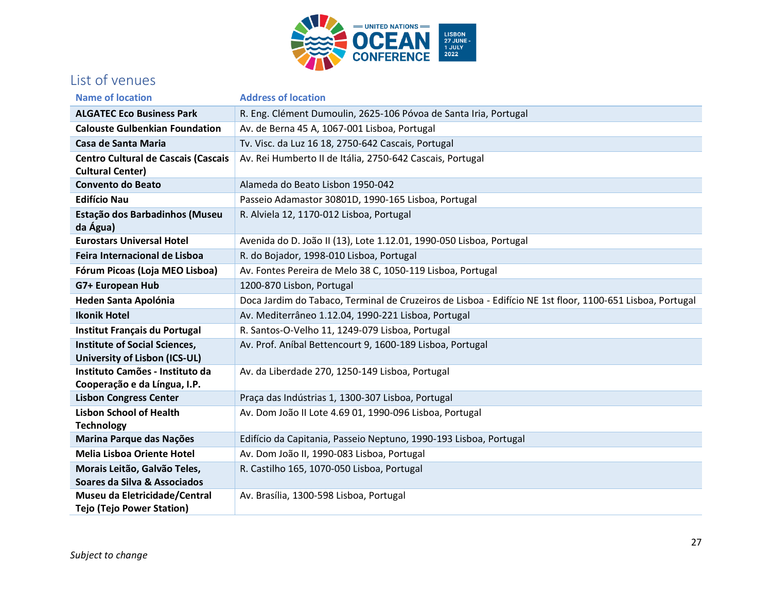

# List of venues

| <b>Name of location</b>                                         | <b>Address of location</b>                                                                                |
|-----------------------------------------------------------------|-----------------------------------------------------------------------------------------------------------|
| <b>ALGATEC Eco Business Park</b>                                | R. Eng. Clément Dumoulin, 2625-106 Póvoa de Santa Iria, Portugal                                          |
| <b>Calouste Gulbenkian Foundation</b>                           | Av. de Berna 45 A, 1067-001 Lisboa, Portugal                                                              |
| Casa de Santa Maria                                             | Tv. Visc. da Luz 16 18, 2750-642 Cascais, Portugal                                                        |
| <b>Centro Cultural de Cascais (Cascais</b>                      | Av. Rei Humberto II de Itália, 2750-642 Cascais, Portugal                                                 |
| <b>Cultural Center)</b>                                         |                                                                                                           |
| <b>Convento do Beato</b>                                        | Alameda do Beato Lisbon 1950-042                                                                          |
| <b>Edifício Nau</b>                                             | Passeio Adamastor 30801D, 1990-165 Lisboa, Portugal                                                       |
| Estação dos Barbadinhos (Museu<br>da Água)                      | R. Alviela 12, 1170-012 Lisboa, Portugal                                                                  |
| <b>Eurostars Universal Hotel</b>                                | Avenida do D. João II (13), Lote 1.12.01, 1990-050 Lisboa, Portugal                                       |
| Feira Internacional de Lisboa                                   | R. do Bojador, 1998-010 Lisboa, Portugal                                                                  |
| Fórum Picoas (Loja MEO Lisboa)                                  | Av. Fontes Pereira de Melo 38 C, 1050-119 Lisboa, Portugal                                                |
| G7+ European Hub                                                | 1200-870 Lisbon, Portugal                                                                                 |
| <b>Heden Santa Apolónia</b>                                     | Doca Jardim do Tabaco, Terminal de Cruzeiros de Lisboa - Edifício NE 1st floor, 1100-651 Lisboa, Portugal |
| <b>Ikonik Hotel</b>                                             | Av. Mediterrâneo 1.12.04, 1990-221 Lisboa, Portugal                                                       |
| Institut Français du Portugal                                   | R. Santos-O-Velho 11, 1249-079 Lisboa, Portugal                                                           |
| <b>Institute of Social Sciences,</b>                            | Av. Prof. Aníbal Bettencourt 9, 1600-189 Lisboa, Portugal                                                 |
| University of Lisbon (ICS-UL)                                   |                                                                                                           |
| Instituto Camões - Instituto da<br>Cooperação e da Língua, I.P. | Av. da Liberdade 270, 1250-149 Lisboa, Portugal                                                           |
| <b>Lisbon Congress Center</b>                                   | Praça das Indústrias 1, 1300-307 Lisboa, Portugal                                                         |
| <b>Lisbon School of Health</b>                                  | Av. Dom João II Lote 4.69 01, 1990-096 Lisboa, Portugal                                                   |
| <b>Technology</b>                                               |                                                                                                           |
| Marina Parque das Nações                                        | Edifício da Capitania, Passeio Neptuno, 1990-193 Lisboa, Portugal                                         |
| <b>Melia Lisboa Oriente Hotel</b>                               | Av. Dom João II, 1990-083 Lisboa, Portugal                                                                |
| Morais Leitão, Galvão Teles,                                    | R. Castilho 165, 1070-050 Lisboa, Portugal                                                                |
| Soares da Silva & Associados                                    |                                                                                                           |
| Museu da Eletricidade/Central                                   | Av. Brasília, 1300-598 Lisboa, Portugal                                                                   |
| <b>Tejo (Tejo Power Station)</b>                                |                                                                                                           |